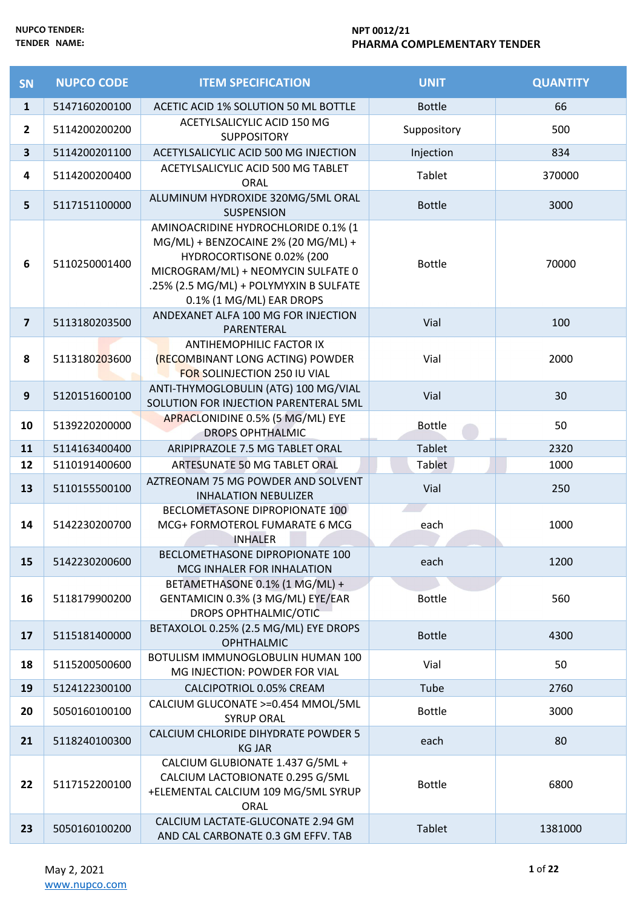| <b>SN</b>               | <b>NUPCO CODE</b> | <b>ITEM SPECIFICATION</b>                                                                                                                                                                                           | <b>UNIT</b>   | <b>QUANTITY</b> |
|-------------------------|-------------------|---------------------------------------------------------------------------------------------------------------------------------------------------------------------------------------------------------------------|---------------|-----------------|
| $\mathbf{1}$            | 5147160200100     | ACETIC ACID 1% SOLUTION 50 ML BOTTLE                                                                                                                                                                                | <b>Bottle</b> | 66              |
| $\overline{2}$          | 5114200200200     | ACETYLSALICYLIC ACID 150 MG<br><b>SUPPOSITORY</b>                                                                                                                                                                   | Suppository   | 500             |
| 3                       | 5114200201100     | ACETYLSALICYLIC ACID 500 MG INJECTION                                                                                                                                                                               | Injection     | 834             |
| 4                       | 5114200200400     | ACETYLSALICYLIC ACID 500 MG TABLET<br><b>ORAL</b>                                                                                                                                                                   | Tablet        | 370000          |
| 5                       | 5117151100000     | ALUMINUM HYDROXIDE 320MG/5ML ORAL<br><b>SUSPENSION</b>                                                                                                                                                              | <b>Bottle</b> | 3000            |
| 6                       | 5110250001400     | AMINOACRIDINE HYDROCHLORIDE 0.1% (1<br>MG/ML) + BENZOCAINE 2% (20 MG/ML) +<br>HYDROCORTISONE 0.02% (200<br>MICROGRAM/ML) + NEOMYCIN SULFATE 0<br>.25% (2.5 MG/ML) + POLYMYXIN B SULFATE<br>0.1% (1 MG/ML) EAR DROPS | <b>Bottle</b> | 70000           |
| $\overline{\mathbf{z}}$ | 5113180203500     | ANDEXANET ALFA 100 MG FOR INJECTION<br>PARENTERAL                                                                                                                                                                   | Vial          | 100             |
| 8                       | 5113180203600     | ANTIHEMOPHILIC FACTOR IX<br>(RECOMBINANT LONG ACTING) POWDER<br>FOR SOLINJECTION 250 IU VIAL                                                                                                                        | Vial          | 2000            |
| 9                       | 5120151600100     | ANTI-THYMOGLOBULIN (ATG) 100 MG/VIAL<br>SOLUTION FOR INJECTION PARENTERAL 5ML                                                                                                                                       | Vial          | 30              |
| 10                      | 5139220200000     | APRACLONIDINE 0.5% (5 MG/ML) EYE<br><b>DROPS OPHTHALMIC</b>                                                                                                                                                         | <b>Bottle</b> | 50              |
| 11                      | 5114163400400     | ARIPIPRAZOLE 7.5 MG TABLET ORAL                                                                                                                                                                                     | <b>Tablet</b> | 2320            |
| 12                      | 5110191400600     | ARTESUNATE 50 MG TABLET ORAL                                                                                                                                                                                        | <b>Tablet</b> | 1000            |
| 13                      | 5110155500100     | AZTREONAM 75 MG POWDER AND SOLVENT<br><b>INHALATION NEBULIZER</b>                                                                                                                                                   | Vial          | 250             |
| 14                      | 5142230200700     | BECLOMETASONE DIPROPIONATE 100<br>MCG+ FORMOTEROL FUMARATE 6 MCG<br><b>INHALER</b>                                                                                                                                  | each          | 1000            |
| 15                      | 5142230200600     | BECLOMETHASONE DIPROPIONATE 100<br>MCG INHALER FOR INHALATION                                                                                                                                                       | each          | 1200            |
| 16                      | 5118179900200     | BETAMETHASONE 0.1% (1 MG/ML) +<br>GENTAMICIN 0.3% (3 MG/ML) EYE/EAR<br><b>DROPS OPHTHALMIC/OTIC</b>                                                                                                                 | <b>Bottle</b> | 560             |
| 17                      | 5115181400000     | BETAXOLOL 0.25% (2.5 MG/ML) EYE DROPS<br><b>OPHTHALMIC</b>                                                                                                                                                          | <b>Bottle</b> | 4300            |
| 18                      | 5115200500600     | BOTULISM IMMUNOGLOBULIN HUMAN 100<br>MG INJECTION: POWDER FOR VIAL                                                                                                                                                  | Vial          | 50              |
| 19                      | 5124122300100     | CALCIPOTRIOL 0.05% CREAM                                                                                                                                                                                            | Tube          | 2760            |
| 20                      | 5050160100100     | CALCIUM GLUCONATE >=0.454 MMOL/5ML<br><b>SYRUP ORAL</b>                                                                                                                                                             | <b>Bottle</b> | 3000            |
| 21                      | 5118240100300     | CALCIUM CHLORIDE DIHYDRATE POWDER 5<br><b>KG JAR</b>                                                                                                                                                                | each          | 80              |
| 22                      | 5117152200100     | CALCIUM GLUBIONATE 1.437 G/5ML +<br>CALCIUM LACTOBIONATE 0.295 G/5ML<br>+ELEMENTAL CALCIUM 109 MG/5ML SYRUP<br><b>ORAL</b>                                                                                          | <b>Bottle</b> | 6800            |
| 23                      | 5050160100200     | CALCIUM LACTATE-GLUCONATE 2.94 GM<br>AND CAL CARBONATE 0.3 GM EFFV. TAB                                                                                                                                             | <b>Tablet</b> | 1381000         |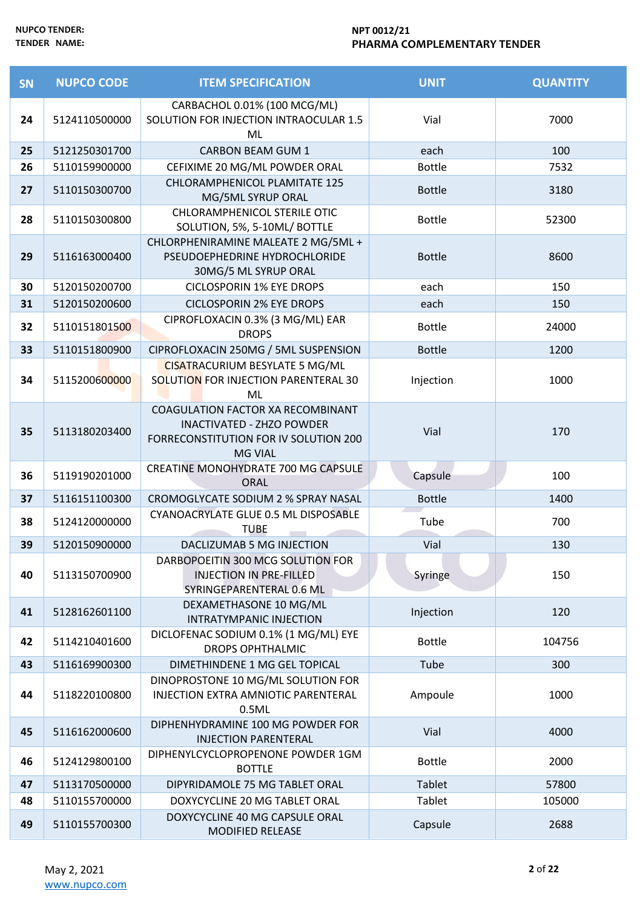| SN | <b>NUPCO CODE</b> | <b>ITEM SPECIFICATION</b>                                                                                                               | <b>UNIT</b>   | <b>QUANTITY</b> |
|----|-------------------|-----------------------------------------------------------------------------------------------------------------------------------------|---------------|-----------------|
| 24 | 5124110500000     | CARBACHOL 0.01% (100 MCG/ML)<br>SOLUTION FOR INJECTION INTRAOCULAR 1.5<br>ML                                                            | Vial          | 7000            |
| 25 | 5121250301700     | <b>CARBON BEAM GUM 1</b>                                                                                                                | each          | 100             |
| 26 | 5110159900000     | CEFIXIME 20 MG/ML POWDER ORAL                                                                                                           | <b>Bottle</b> | 7532            |
| 27 | 5110150300700     | CHLORAMPHENICOL PLAMITATE 125<br>MG/5ML SYRUP ORAL                                                                                      | <b>Bottle</b> | 3180            |
| 28 | 5110150300800     | CHLORAMPHENICOL STERILE OTIC<br>SOLUTION, 5%, 5-10ML/ BOTTLE                                                                            | <b>Bottle</b> | 52300           |
| 29 | 5116163000400     | CHLORPHENIRAMINE MALEATE 2 MG/5ML +<br>PSEUDOEPHEDRINE HYDROCHLORIDE<br>30MG/5 ML SYRUP ORAL                                            | <b>Bottle</b> | 8600            |
| 30 | 5120150200700     | <b>CICLOSPORIN 1% EYE DROPS</b>                                                                                                         | each          | 150             |
| 31 | 5120150200600     | <b>CICLOSPORIN 2% EYE DROPS</b>                                                                                                         | each          | 150             |
| 32 | 5110151801500     | CIPROFLOXACIN 0.3% (3 MG/ML) EAR<br><b>DROPS</b>                                                                                        | <b>Bottle</b> | 24000           |
| 33 | 5110151800900     | CIPROFLOXACIN 250MG / 5ML SUSPENSION                                                                                                    | <b>Bottle</b> | 1200            |
| 34 | 5115200600000     | <b>CISATRACURIUM BESYLATE 5 MG/ML</b><br>SOLUTION FOR INJECTION PARENTERAL 30<br>ML                                                     | Injection     | 1000            |
| 35 | 5113180203400     | <b>COAGULATION FACTOR XA RECOMBINANT</b><br><b>INACTIVATED - ZHZO POWDER</b><br>FORRECONSTITUTION FOR IV SOLUTION 200<br><b>MG VIAL</b> | Vial          | 170             |
| 36 | 5119190201000     | CREATINE MONOHYDRATE 700 MG CAPSULE<br><b>ORAL</b>                                                                                      | Capsule       | 100             |
| 37 | 5116151100300     | CROMOGLYCATE SODIUM 2 % SPRAY NASAL                                                                                                     | <b>Bottle</b> | 1400            |
| 38 | 5124120000000     | CYANOACRYLATE GLUE 0.5 ML DISPOSABLE<br><b>TUBE</b>                                                                                     | Tube          | 700             |
| 39 | 5120150900000     | DACLIZUMAB 5 MG INJECTION                                                                                                               | Vial          | 130             |
| 40 | 5113150700900     | DARBOPOEITIN 300 MCG SOLUTION FOR<br><b>INJECTION IN PRE-FILLED</b><br>SYRINGEPARENTERAL 0.6 ML                                         | Syringe       | 150             |
| 41 | 5128162601100     | DEXAMETHASONE 10 MG/ML<br>INTRATYMPANIC INJECTION                                                                                       | Injection     | 120             |
| 42 | 5114210401600     | DICLOFENAC SODIUM 0.1% (1 MG/ML) EYE<br><b>DROPS OPHTHALMIC</b>                                                                         | <b>Bottle</b> | 104756          |
| 43 | 5116169900300     | DIMETHINDENE 1 MG GEL TOPICAL                                                                                                           | Tube          | 300             |
| 44 | 5118220100800     | DINOPROSTONE 10 MG/ML SOLUTION FOR<br>INJECTION EXTRA AMNIOTIC PARENTERAL<br>0.5ML                                                      | Ampoule       | 1000            |
| 45 | 5116162000600     | DIPHENHYDRAMINE 100 MG POWDER FOR<br><b>INJECTION PARENTERAL</b>                                                                        | Vial          | 4000            |
| 46 | 5124129800100     | DIPHENYLCYCLOPROPENONE POWDER 1GM<br><b>BOTTLE</b>                                                                                      | <b>Bottle</b> | 2000            |
| 47 | 5113170500000     | DIPYRIDAMOLE 75 MG TABLET ORAL                                                                                                          | <b>Tablet</b> | 57800           |
| 48 | 5110155700000     | DOXYCYCLINE 20 MG TABLET ORAL                                                                                                           | Tablet        | 105000          |
| 49 | 5110155700300     | DOXYCYCLINE 40 MG CAPSULE ORAL<br><b>MODIFIED RELEASE</b>                                                                               | Capsule       | 2688            |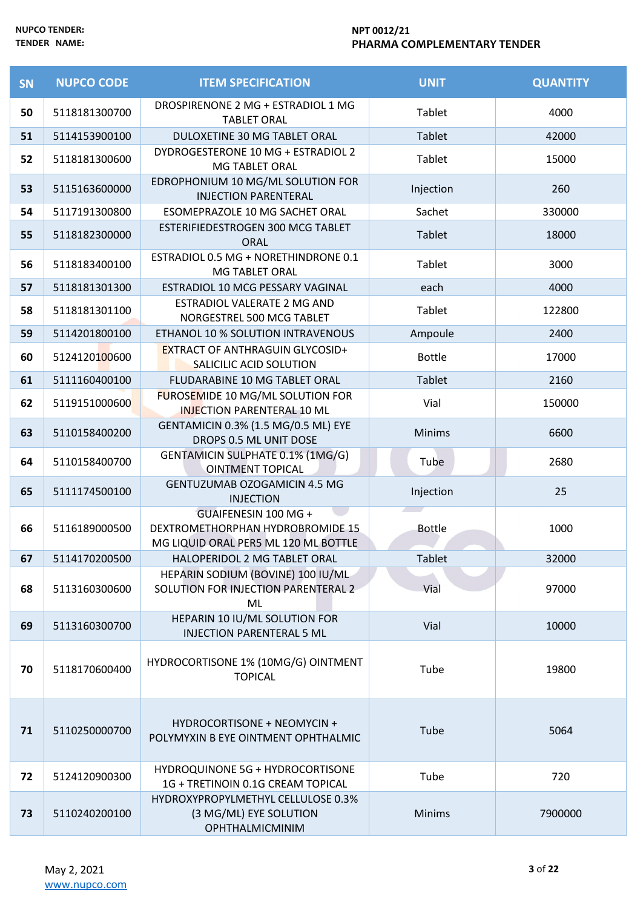| <b>SN</b> | <b>NUPCO CODE</b> | <b>ITEM SPECIFICATION</b>                                                                        | <b>UNIT</b>   | <b>QUANTITY</b> |
|-----------|-------------------|--------------------------------------------------------------------------------------------------|---------------|-----------------|
| 50        | 5118181300700     | DROSPIRENONE 2 MG + ESTRADIOL 1 MG<br><b>TABLET ORAL</b>                                         | Tablet        | 4000            |
| 51        | 5114153900100     | DULOXETINE 30 MG TABLET ORAL                                                                     | Tablet        | 42000           |
| 52        | 5118181300600     | DYDROGESTERONE 10 MG + ESTRADIOL 2<br><b>MG TABLET ORAL</b>                                      | Tablet        | 15000           |
| 53        | 5115163600000     | EDROPHONIUM 10 MG/ML SOLUTION FOR<br><b>INJECTION PARENTERAL</b>                                 | Injection     | 260             |
| 54        | 5117191300800     | ESOMEPRAZOLE 10 MG SACHET ORAL                                                                   | Sachet        | 330000          |
| 55        | 5118182300000     | ESTERIFIEDESTROGEN 300 MCG TABLET<br><b>ORAL</b>                                                 | Tablet        | 18000           |
| 56        | 5118183400100     | ESTRADIOL 0.5 MG + NORETHINDRONE 0.1<br><b>MG TABLET ORAL</b>                                    | Tablet        | 3000            |
| 57        | 5118181301300     | ESTRADIOL 10 MCG PESSARY VAGINAL                                                                 | each          | 4000            |
| 58        | 5118181301100     | ESTRADIOL VALERATE 2 MG AND<br>NORGESTREL 500 MCG TABLET                                         | Tablet        | 122800          |
| 59        | 5114201800100     | ETHANOL 10 % SOLUTION INTRAVENOUS                                                                | Ampoule       | 2400            |
| 60        | 5124120100600     | <b>EXTRACT OF ANTHRAGUIN GLYCOSID+</b><br>SALICILIC ACID SOLUTION                                | <b>Bottle</b> | 17000           |
| 61        | 5111160400100     | FLUDARABINE 10 MG TABLET ORAL                                                                    | <b>Tablet</b> | 2160            |
| 62        | 5119151000600     | FUROSEMIDE 10 MG/ML SOLUTION FOR<br><b>INJECTION PARENTERAL 10 ML</b>                            | Vial          | 150000          |
| 63        | 5110158400200     | GENTAMICIN 0.3% (1.5 MG/0.5 ML) EYE<br>DROPS 0.5 ML UNIT DOSE                                    | <b>Minims</b> | 6600            |
| 64        | 5110158400700     | GENTAMICIN SULPHATE 0.1% (1MG/G)<br><b>OINTMENT TOPICAL</b>                                      | Tube          | 2680            |
| 65        | 5111174500100     | <b>GENTUZUMAB OZOGAMICIN 4.5 MG</b><br><b>INJECTION</b>                                          | Injection     | 25              |
| 66        | 5116189000500     | GUAIFENESIN 100 MG +<br>DEXTROMETHORPHAN HYDROBROMIDE 15<br>MG LIQUID ORAL PER5 ML 120 ML BOTTLE | <b>Bottle</b> | 1000            |
| 67        | 5114170200500     | HALOPERIDOL 2 MG TABLET ORAL                                                                     | <b>Tablet</b> | 32000           |
| 68        | 5113160300600     | HEPARIN SODIUM (BOVINE) 100 IU/ML<br>SOLUTION FOR INJECTION PARENTERAL 2<br>ML                   | Vial          | 97000           |
| 69        | 5113160300700     | HEPARIN 10 IU/ML SOLUTION FOR<br><b>INJECTION PARENTERAL 5 ML</b>                                | Vial          | 10000           |
| 70        | 5118170600400     | HYDROCORTISONE 1% (10MG/G) OINTMENT<br><b>TOPICAL</b>                                            | Tube          | 19800           |
| 71        | 5110250000700     | HYDROCORTISONE + NEOMYCIN +<br>POLYMYXIN B EYE OINTMENT OPHTHALMIC                               | Tube          | 5064            |
| 72        | 5124120900300     | HYDROQUINONE 5G + HYDROCORTISONE<br>1G + TRETINOIN 0.1G CREAM TOPICAL                            | Tube          | 720             |
| 73        | 5110240200100     | HYDROXYPROPYLMETHYL CELLULOSE 0.3%<br>(3 MG/ML) EYE SOLUTION<br>OPHTHALMICMINIM                  | <b>Minims</b> | 7900000         |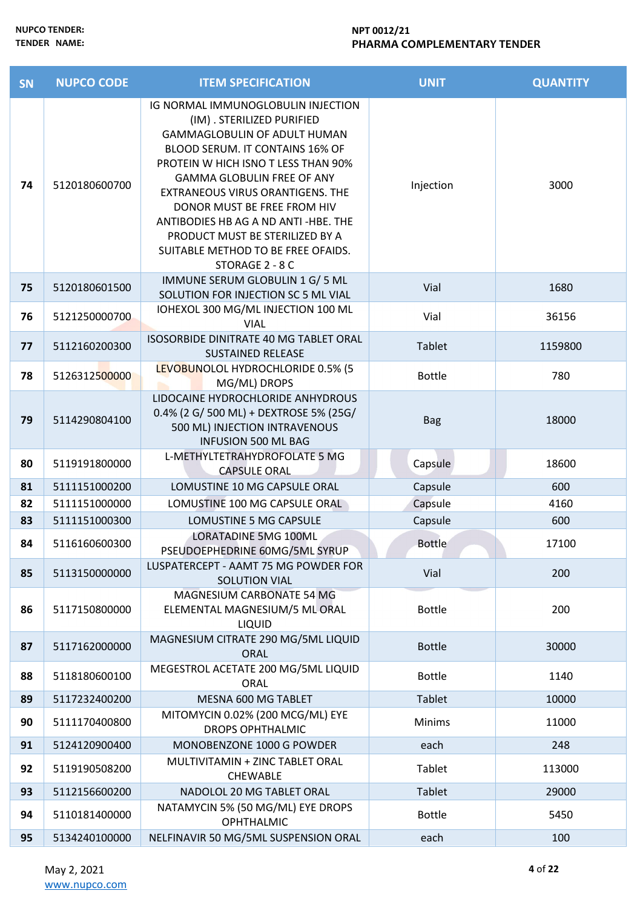| <b>SN</b> | <b>NUPCO CODE</b> | <b>ITEM SPECIFICATION</b>                                                                                                                                                                                                                                                                                                                                                                                                    | <b>UNIT</b>   | <b>QUANTITY</b> |
|-----------|-------------------|------------------------------------------------------------------------------------------------------------------------------------------------------------------------------------------------------------------------------------------------------------------------------------------------------------------------------------------------------------------------------------------------------------------------------|---------------|-----------------|
| 74        | 5120180600700     | IG NORMAL IMMUNOGLOBULIN INJECTION<br>(IM) . STERILIZED PURIFIED<br><b>GAMMAGLOBULIN OF ADULT HUMAN</b><br>BLOOD SERUM. IT CONTAINS 16% OF<br>PROTEIN W HICH ISNO T LESS THAN 90%<br><b>GAMMA GLOBULIN FREE OF ANY</b><br>EXTRANEOUS VIRUS ORANTIGENS. THE<br>DONOR MUST BE FREE FROM HIV<br>ANTIBODIES HB AG A ND ANTI-HBE. THE<br>PRODUCT MUST BE STERILIZED BY A<br>SUITABLE METHOD TO BE FREE OFAIDS.<br>STORAGE 2 - 8 C | Injection     | 3000            |
| 75        | 5120180601500     | IMMUNE SERUM GLOBULIN 1 G/ 5 ML<br>SOLUTION FOR INJECTION SC 5 ML VIAL                                                                                                                                                                                                                                                                                                                                                       | Vial          | 1680            |
| 76        | 5121250000700     | IOHEXOL 300 MG/ML INJECTION 100 ML<br><b>VIAL</b>                                                                                                                                                                                                                                                                                                                                                                            | Vial          | 36156           |
| 77        | 5112160200300     | ISOSORBIDE DINITRATE 40 MG TABLET ORAL<br><b>SUSTAINED RELEASE</b>                                                                                                                                                                                                                                                                                                                                                           | Tablet        | 1159800         |
| 78        | 5126312500000     | LEVOBUNOLOL HYDROCHLORIDE 0.5% (5<br>MG/ML) DROPS                                                                                                                                                                                                                                                                                                                                                                            | <b>Bottle</b> | 780             |
| 79        | 5114290804100     | LIDOCAINE HYDROCHLORIDE ANHYDROUS<br>0.4% (2 G/ 500 ML) + DEXTROSE 5% (25G/<br>500 ML) INJECTION INTRAVENOUS<br><b>INFUSION 500 ML BAG</b>                                                                                                                                                                                                                                                                                   | <b>Bag</b>    | 18000           |
| 80        | 5119191800000     | L-METHYLTETRAHYDROFOLATE 5 MG<br><b>CAPSULE ORAL</b>                                                                                                                                                                                                                                                                                                                                                                         | Capsule       | 18600           |
| 81        | 5111151000200     | LOMUSTINE 10 MG CAPSULE ORAL                                                                                                                                                                                                                                                                                                                                                                                                 | Capsule       | 600             |
| 82        | 5111151000000     | LOMUSTINE 100 MG CAPSULE ORAL                                                                                                                                                                                                                                                                                                                                                                                                | Capsule       | 4160            |
| 83        | 5111151000300     | LOMUSTINE 5 MG CAPSULE                                                                                                                                                                                                                                                                                                                                                                                                       | Capsule       | 600             |
| 84        | 5116160600300     | <b>LORATADINE 5MG 100ML</b><br>PSEUDOEPHEDRINE 60MG/5ML SYRUP                                                                                                                                                                                                                                                                                                                                                                | <b>Bottle</b> | 17100           |
| 85        | 5113150000000     | LUSPATERCEPT - AAMT 75 MG POWDER FOR<br>SOLUTION VIAL                                                                                                                                                                                                                                                                                                                                                                        | Vial          | 200             |
| 86        | 5117150800000     | MAGNESIUM CARBONATE 54 MG<br>ELEMENTAL MAGNESIUM/5 ML ORAL<br><b>LIQUID</b>                                                                                                                                                                                                                                                                                                                                                  | <b>Bottle</b> | 200             |
| 87        | 5117162000000     | MAGNESIUM CITRATE 290 MG/5ML LIQUID<br><b>ORAL</b>                                                                                                                                                                                                                                                                                                                                                                           | <b>Bottle</b> | 30000           |
| 88        | 5118180600100     | MEGESTROL ACETATE 200 MG/5ML LIQUID<br>ORAL                                                                                                                                                                                                                                                                                                                                                                                  | <b>Bottle</b> | 1140            |
| 89        | 5117232400200     | MESNA 600 MG TABLET                                                                                                                                                                                                                                                                                                                                                                                                          | Tablet        | 10000           |
| 90        | 5111170400800     | MITOMYCIN 0.02% (200 MCG/ML) EYE<br><b>DROPS OPHTHALMIC</b>                                                                                                                                                                                                                                                                                                                                                                  | <b>Minims</b> | 11000           |
| 91        | 5124120900400     | MONOBENZONE 1000 G POWDER                                                                                                                                                                                                                                                                                                                                                                                                    | each          | 248             |
| 92        | 5119190508200     | MULTIVITAMIN + ZINC TABLET ORAL<br><b>CHEWABLE</b>                                                                                                                                                                                                                                                                                                                                                                           | Tablet        | 113000          |
| 93        | 5112156600200     | NADOLOL 20 MG TABLET ORAL                                                                                                                                                                                                                                                                                                                                                                                                    | Tablet        | 29000           |
| 94        | 5110181400000     | NATAMYCIN 5% (50 MG/ML) EYE DROPS<br><b>OPHTHALMIC</b>                                                                                                                                                                                                                                                                                                                                                                       | <b>Bottle</b> | 5450            |
| 95        | 5134240100000     | NELFINAVIR 50 MG/5ML SUSPENSION ORAL                                                                                                                                                                                                                                                                                                                                                                                         | each          | 100             |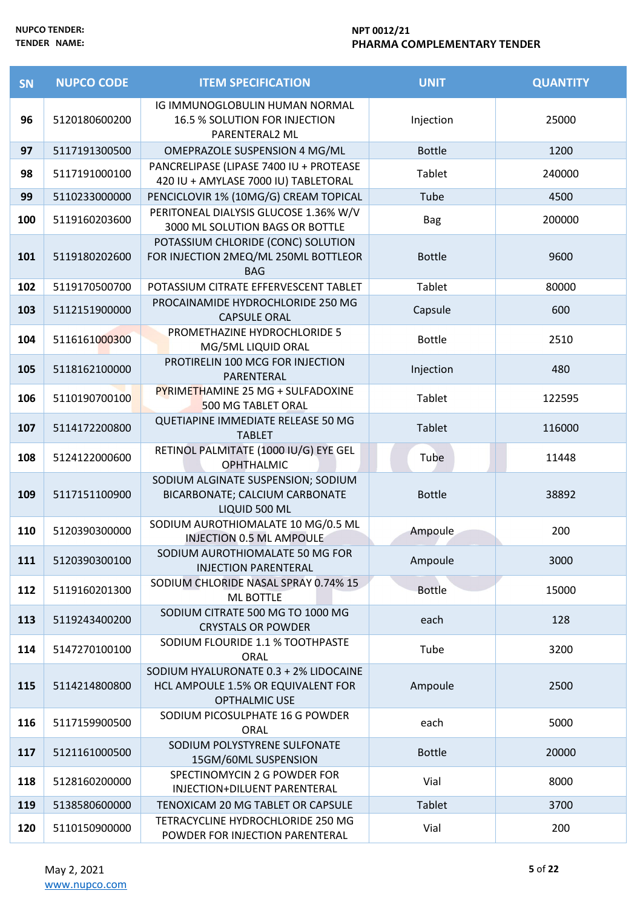| SN  | <b>NUPCO CODE</b> | <b>ITEM SPECIFICATION</b>                                                                    | <b>UNIT</b>   | <b>QUANTITY</b> |
|-----|-------------------|----------------------------------------------------------------------------------------------|---------------|-----------------|
| 96  | 5120180600200     | IG IMMUNOGLOBULIN HUMAN NORMAL<br>16.5 % SOLUTION FOR INJECTION<br>PARENTERAL2 ML            | Injection     | 25000           |
| 97  | 5117191300500     | OMEPRAZOLE SUSPENSION 4 MG/ML                                                                | <b>Bottle</b> | 1200            |
| 98  | 5117191000100     | PANCRELIPASE (LIPASE 7400 IU + PROTEASE<br>420 IU + AMYLASE 7000 IU) TABLETORAL              | Tablet        | 240000          |
| 99  | 5110233000000     | PENCICLOVIR 1% (10MG/G) CREAM TOPICAL                                                        | Tube          | 4500            |
| 100 | 5119160203600     | PERITONEAL DIALYSIS GLUCOSE 1.36% W/V<br>3000 ML SOLUTION BAGS OR BOTTLE                     | <b>Bag</b>    | 200000          |
| 101 | 5119180202600     | POTASSIUM CHLORIDE (CONC) SOLUTION<br>FOR INJECTION 2MEQ/ML 250ML BOTTLEOR<br><b>BAG</b>     | <b>Bottle</b> | 9600            |
| 102 | 5119170500700     | POTASSIUM CITRATE EFFERVESCENT TABLET                                                        | Tablet        | 80000           |
| 103 | 5112151900000     | PROCAINAMIDE HYDROCHLORIDE 250 MG<br><b>CAPSULE ORAL</b>                                     | Capsule       | 600             |
| 104 | 5116161000300     | PROMETHAZINE HYDROCHLORIDE 5<br>MG/5ML LIQUID ORAL                                           | <b>Bottle</b> | 2510            |
| 105 | 5118162100000     | PROTIRELIN 100 MCG FOR INJECTION<br>PARENTERAL                                               | Injection     | 480             |
| 106 | 5110190700100     | PYRIMETHAMINE 25 MG + SULFADOXINE<br>500 MG TABLET ORAL                                      | <b>Tablet</b> | 122595          |
| 107 | 5114172200800     | QUETIAPINE IMMEDIATE RELEASE 50 MG<br><b>TABLET</b>                                          | Tablet        | 116000          |
| 108 | 5124122000600     | RETINOL PALMITATE (1000 IU/G) EYE GEL<br><b>OPHTHALMIC</b>                                   | Tube          | 11448           |
| 109 | 5117151100900     | SODIUM ALGINATE SUSPENSION; SODIUM<br>BICARBONATE; CALCIUM CARBONATE<br>LIQUID 500 ML        | <b>Bottle</b> | 38892           |
| 110 | 5120390300000     | SODIUM AUROTHIOMALATE 10 MG/0.5 ML<br>INJECTION 0.5 ML AMPOULE                               | Ampoule       | 200             |
| 111 | 5120390300100     | SODIUM AUROTHIOMALATE 50 MG FOR<br><b>INJECTION PARENTERAL</b>                               | Ampoule       | 3000            |
| 112 | 5119160201300     | SODIUM CHLORIDE NASAL SPRAY 0.74% 15<br><b>ML BOTTLE</b>                                     | <b>Bottle</b> | 15000           |
| 113 | 5119243400200     | SODIUM CITRATE 500 MG TO 1000 MG<br><b>CRYSTALS OR POWDER</b>                                | each          | 128             |
| 114 | 5147270100100     | SODIUM FLOURIDE 1.1 % TOOTHPASTE<br>ORAL                                                     | Tube          | 3200            |
| 115 | 5114214800800     | SODIUM HYALURONATE 0.3 + 2% LIDOCAINE<br>HCL AMPOULE 1.5% OR EQUIVALENT FOR<br>OPTHALMIC USE | Ampoule       | 2500            |
| 116 | 5117159900500     | SODIUM PICOSULPHATE 16 G POWDER<br><b>ORAL</b>                                               | each          | 5000            |
| 117 | 5121161000500     | SODIUM POLYSTYRENE SULFONATE<br>15GM/60ML SUSPENSION                                         | <b>Bottle</b> | 20000           |
| 118 | 5128160200000     | SPECTINOMYCIN 2 G POWDER FOR<br>INJECTION+DILUENT PARENTERAL                                 | Vial          | 8000            |
| 119 | 5138580600000     | TENOXICAM 20 MG TABLET OR CAPSULE                                                            | <b>Tablet</b> | 3700            |
| 120 | 5110150900000     | TETRACYCLINE HYDROCHLORIDE 250 MG<br>POWDER FOR INJECTION PARENTERAL                         | Vial          | 200             |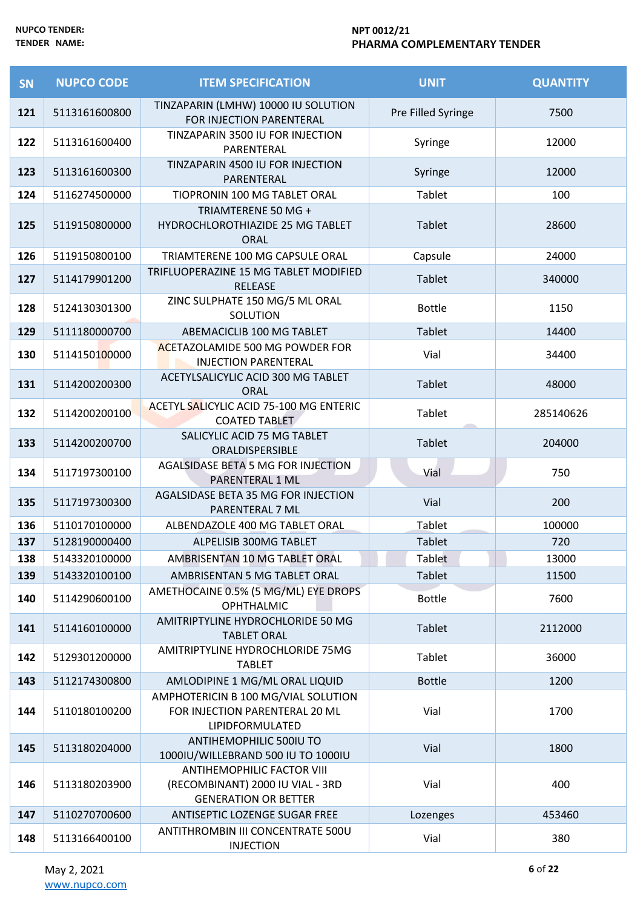| SN  | <b>NUPCO CODE</b> | <b>ITEM SPECIFICATION</b>                                                                            | <b>UNIT</b>        | <b>QUANTITY</b> |
|-----|-------------------|------------------------------------------------------------------------------------------------------|--------------------|-----------------|
| 121 | 5113161600800     | TINZAPARIN (LMHW) 10000 IU SOLUTION<br>FOR INJECTION PARENTERAL                                      | Pre Filled Syringe | 7500            |
| 122 | 5113161600400     | TINZAPARIN 3500 IU FOR INJECTION<br>PARENTERAL                                                       | Syringe            | 12000           |
| 123 | 5113161600300     | TINZAPARIN 4500 IU FOR INJECTION<br>PARENTERAL                                                       | Syringe            | 12000           |
| 124 | 5116274500000     | TIOPRONIN 100 MG TABLET ORAL                                                                         | Tablet             | 100             |
| 125 | 5119150800000     | TRIAMTERENE 50 MG +<br>HYDROCHLOROTHIAZIDE 25 MG TABLET<br><b>ORAL</b>                               | Tablet             | 28600           |
| 126 | 5119150800100     | TRIAMTERENE 100 MG CAPSULE ORAL                                                                      | Capsule            | 24000           |
| 127 | 5114179901200     | TRIFLUOPERAZINE 15 MG TABLET MODIFIED<br><b>RELEASE</b>                                              | Tablet             | 340000          |
| 128 | 5124130301300     | ZINC SULPHATE 150 MG/5 ML ORAL<br>SOLUTION                                                           | <b>Bottle</b>      | 1150            |
| 129 | 5111180000700     | ABEMACICLIB 100 MG TABLET                                                                            | <b>Tablet</b>      | 14400           |
| 130 | 5114150100000     | <b>ACETAZOLAMIDE 500 MG POWDER FOR</b><br><b>INJECTION PARENTERAL</b>                                | Vial               | 34400           |
| 131 | 5114200200300     | ACETYLSALICYLIC ACID 300 MG TABLET<br><b>ORAL</b>                                                    | Tablet             | 48000           |
| 132 | 5114200200100     | ACETYL SALICYLIC ACID 75-100 MG ENTERIC<br><b>COATED TABLET</b>                                      | Tablet             | 285140626       |
| 133 | 5114200200700     | SALICYLIC ACID 75 MG TABLET<br>ORALDISPERSIBLE                                                       | Tablet             | 204000          |
| 134 | 5117197300100     | AGALSIDASE BETA 5 MG FOR INJECTION<br>PARENTERAL 1 ML                                                | Vial               | 750             |
| 135 | 5117197300300     | AGALSIDASE BETA 35 MG FOR INJECTION<br>PARENTERAL 7 ML                                               | Vial               | 200             |
| 136 | 5110170100000     | ALBENDAZOLE 400 MG TABLET ORAL                                                                       | <b>Tablet</b>      | 100000          |
| 137 | 5128190000400     | ALPELISIB 300MG TABLET                                                                               | Tablet             | 720             |
| 138 | 5143320100000     | AMBRISENTAN 10 MG TABLET ORAL                                                                        | <b>Tablet</b>      | 13000           |
| 139 | 5143320100100     | AMBRISENTAN 5 MG TABLET ORAL                                                                         | <b>Tablet</b>      | 11500           |
| 140 | 5114290600100     | AMETHOCAINE 0.5% (5 MG/ML) EYE DROPS<br><b>OPHTHALMIC</b>                                            | <b>Bottle</b>      | 7600            |
| 141 | 5114160100000     | AMITRIPTYLINE HYDROCHLORIDE 50 MG<br><b>TABLET ORAL</b>                                              | Tablet             | 2112000         |
| 142 | 5129301200000     | AMITRIPTYLINE HYDROCHLORIDE 75MG<br><b>TABLET</b>                                                    | Tablet             | 36000           |
| 143 | 5112174300800     | AMLODIPINE 1 MG/ML ORAL LIQUID                                                                       | <b>Bottle</b>      | 1200            |
| 144 | 5110180100200     | AMPHOTERICIN B 100 MG/VIAL SOLUTION<br>FOR INJECTION PARENTERAL 20 ML<br>LIPIDFORMULATED             | Vial               | 1700            |
| 145 | 5113180204000     | ANTIHEMOPHILIC 500IU TO<br>1000IU/WILLEBRAND 500 IU TO 1000IU                                        | Vial               | 1800            |
| 146 | 5113180203900     | <b>ANTIHEMOPHILIC FACTOR VIII</b><br>(RECOMBINANT) 2000 IU VIAL - 3RD<br><b>GENERATION OR BETTER</b> | Vial               | 400             |
| 147 | 5110270700600     | ANTISEPTIC LOZENGE SUGAR FREE                                                                        | Lozenges           | 453460          |
| 148 | 5113166400100     | ANTITHROMBIN III CONCENTRATE 500U<br><b>INJECTION</b>                                                | Vial               | 380             |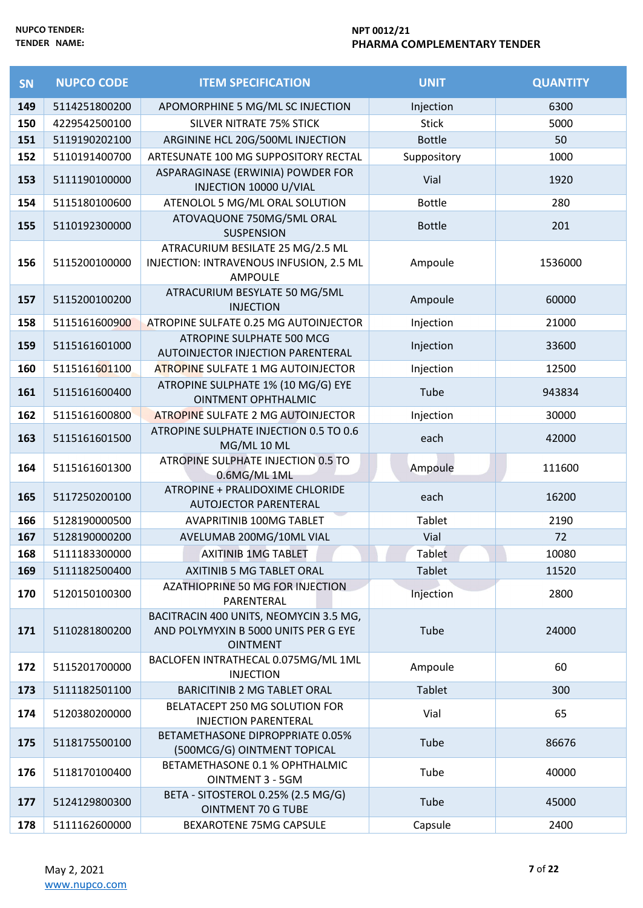| SN  | <b>NUPCO CODE</b> | <b>ITEM SPECIFICATION</b>                                                                         | <b>UNIT</b>   | <b>QUANTITY</b> |
|-----|-------------------|---------------------------------------------------------------------------------------------------|---------------|-----------------|
| 149 | 5114251800200     | APOMORPHINE 5 MG/ML SC INJECTION                                                                  | Injection     | 6300            |
| 150 | 4229542500100     | <b>SILVER NITRATE 75% STICK</b>                                                                   | <b>Stick</b>  | 5000            |
| 151 | 5119190202100     | ARGININE HCL 20G/500ML INJECTION                                                                  | <b>Bottle</b> | 50              |
| 152 | 5110191400700     | ARTESUNATE 100 MG SUPPOSITORY RECTAL                                                              | Suppository   | 1000            |
| 153 | 5111190100000     | ASPARAGINASE (ERWINIA) POWDER FOR<br>INJECTION 10000 U/VIAL                                       | Vial          | 1920            |
| 154 | 5115180100600     | ATENOLOL 5 MG/ML ORAL SOLUTION                                                                    | <b>Bottle</b> | 280             |
| 155 | 5110192300000     | ATOVAQUONE 750MG/5ML ORAL<br><b>SUSPENSION</b>                                                    | <b>Bottle</b> | 201             |
| 156 | 5115200100000     | ATRACURIUM BESILATE 25 MG/2.5 ML<br>INJECTION: INTRAVENOUS INFUSION, 2.5 ML<br><b>AMPOULE</b>     | Ampoule       | 1536000         |
| 157 | 5115200100200     | ATRACURIUM BESYLATE 50 MG/5ML<br><b>INJECTION</b>                                                 | Ampoule       | 60000           |
| 158 | 5115161600900     | ATROPINE SULFATE 0.25 MG AUTOINJECTOR                                                             | Injection     | 21000           |
| 159 | 5115161601000     | ATROPINE SULPHATE 500 MCG<br>AUTOINJECTOR INJECTION PARENTERAL                                    | Injection     | 33600           |
| 160 | 5115161601100     | <b>ATROPINE SULFATE 1 MG AUTOINJECTOR</b>                                                         | Injection     | 12500           |
| 161 | 5115161600400     | ATROPINE SULPHATE 1% (10 MG/G) EYE<br><b>OINTMENT OPHTHALMIC</b>                                  | Tube          | 943834          |
| 162 | 5115161600800     | <b>ATROPINE SULFATE 2 MG AUTOINJECTOR</b>                                                         | Injection     | 30000           |
| 163 | 5115161601500     | ATROPINE SULPHATE INJECTION 0.5 TO 0.6<br>MG/ML 10 ML                                             | each          | 42000           |
| 164 | 5115161601300     | ATROPINE SULPHATE INJECTION 0.5 TO<br>0.6MG/ML 1ML                                                | Ampoule       | 111600          |
| 165 | 5117250200100     | ATROPINE + PRALIDOXIME CHLORIDE<br><b>AUTOJECTOR PARENTERAL</b>                                   | each          | 16200           |
| 166 | 5128190000500     | <b>AVAPRITINIB 100MG TABLET</b>                                                                   | Tablet        | 2190            |
| 167 | 5128190000200     | AVELUMAB 200MG/10ML VIAL                                                                          | Vial          | 72              |
| 168 | 5111183300000     | <b>AXITINIB 1MG TABLET</b>                                                                        | Tablet        | 10080           |
| 169 | 5111182500400     | AXITINIB 5 MG TABLET ORAL                                                                         | Tablet        | 11520           |
| 170 | 5120150100300     | AZATHIOPRINE 50 MG FOR INJECTION<br>PARENTERAL                                                    | Injection     | 2800            |
| 171 | 5110281800200     | BACITRACIN 400 UNITS, NEOMYCIN 3.5 MG,<br>AND POLYMYXIN B 5000 UNITS PER G EYE<br><b>OINTMENT</b> | Tube          | 24000           |
| 172 | 5115201700000     | BACLOFEN INTRATHECAL 0.075MG/ML 1ML<br><b>INJECTION</b>                                           | Ampoule       | 60              |
| 173 | 5111182501100     | <b>BARICITINIB 2 MG TABLET ORAL</b>                                                               | <b>Tablet</b> | 300             |
| 174 | 5120380200000     | BELATACEPT 250 MG SOLUTION FOR<br><b>INJECTION PARENTERAL</b>                                     | Vial          | 65              |
| 175 | 5118175500100     | BETAMETHASONE DIPROPPRIATE 0.05%<br>(500MCG/G) OINTMENT TOPICAL                                   | Tube          | 86676           |
| 176 | 5118170100400     | BETAMETHASONE 0.1 % OPHTHALMIC<br><b>OINTMENT 3 - 5GM</b>                                         | Tube          | 40000           |
| 177 | 5124129800300     | BETA - SITOSTEROL 0.25% (2.5 MG/G)<br><b>OINTMENT 70 G TUBE</b>                                   | Tube          | 45000           |
| 178 | 5111162600000     | BEXAROTENE 75MG CAPSULE                                                                           | Capsule       | 2400            |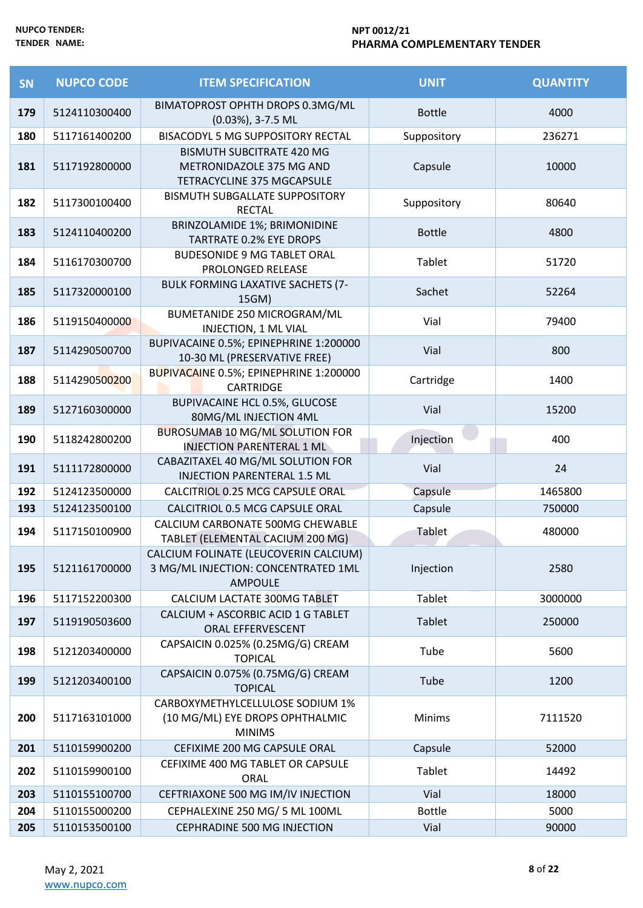| SN  | <b>NUPCO CODE</b> | <b>ITEM SPECIFICATION</b>                                                                  | <b>UNIT</b>   | <b>QUANTITY</b> |
|-----|-------------------|--------------------------------------------------------------------------------------------|---------------|-----------------|
| 179 | 5124110300400     | BIMATOPROST OPHTH DROPS 0.3MG/ML<br>(0.03%), 3-7.5 ML                                      | <b>Bottle</b> | 4000            |
| 180 | 5117161400200     | BISACODYL 5 MG SUPPOSITORY RECTAL                                                          | Suppository   | 236271          |
| 181 | 5117192800000     | <b>BISMUTH SUBCITRATE 420 MG</b><br>METRONIDAZOLE 375 MG AND<br>TETRACYCLINE 375 MGCAPSULE | Capsule       | 10000           |
| 182 | 5117300100400     | BISMUTH SUBGALLATE SUPPOSITORY<br><b>RECTAL</b>                                            | Suppository   | 80640           |
| 183 | 5124110400200     | BRINZOLAMIDE 1%; BRIMONIDINE<br><b>TARTRATE 0.2% EYE DROPS</b>                             | <b>Bottle</b> | 4800            |
| 184 | 5116170300700     | <b>BUDESONIDE 9 MG TABLET ORAL</b><br>PROLONGED RELEASE                                    | Tablet        | 51720           |
| 185 | 5117320000100     | BULK FORMING LAXATIVE SACHETS (7-<br>15GM)                                                 | Sachet        | 52264           |
| 186 | 5119150400000     | BUMETANIDE 250 MICROGRAM/ML<br>INJECTION, 1 ML VIAL                                        | Vial          | 79400           |
| 187 | 5114290500700     | BUPIVACAINE 0.5%; EPINEPHRINE 1:200000<br>10-30 ML (PRESERVATIVE FREE)                     | Vial          | 800             |
| 188 | 5114290500200     | BUPIVACAINE 0.5%; EPINEPHRINE 1:200000<br><b>CARTRIDGE</b>                                 | Cartridge     | 1400            |
| 189 | 5127160300000     | <b>BUPIVACAINE HCL 0.5%, GLUCOSE</b><br>80MG/ML INJECTION 4ML                              | Vial          | 15200           |
| 190 | 5118242800200     | <b>BUROSUMAB 10 MG/ML SOLUTION FOR</b><br>INJECTION PARENTERAL 1 ML                        | Injection     | 400             |
| 191 | 5111172800000     | CABAZITAXEL 40 MG/ML SOLUTION FOR<br><b>INJECTION PARENTERAL 1.5 ML</b>                    | Vial          | 24              |
| 192 | 5124123500000     | CALCITRIOL 0.25 MCG CAPSULE ORAL                                                           | Capsule       | 1465800         |
| 193 | 5124123500100     | CALCITRIOL 0.5 MCG CAPSULE ORAL                                                            | Capsule       | 750000          |
| 194 | 5117150100900     | CALCIUM CARBONATE 500MG CHEWABLE<br>TABLET (ELEMENTAL CACIUM 200 MG)                       | <b>Tablet</b> | 480000          |
| 195 | 5121161700000     | CALCIUM FOLINATE (LEUCOVERIN CALCIUM)<br>3 MG/ML INJECTION: CONCENTRATED 1ML<br>AMPOULE    | Injection     | 2580            |
| 196 | 5117152200300     | CALCIUM LACTATE 300MG TABLET                                                               | Tablet        | 3000000         |
| 197 | 5119190503600     | CALCIUM + ASCORBIC ACID 1 G TABLET<br>ORAL EFFERVESCENT                                    | <b>Tablet</b> | 250000          |
| 198 | 5121203400000     | CAPSAICIN 0.025% (0.25MG/G) CREAM<br><b>TOPICAL</b>                                        | Tube          | 5600            |
| 199 | 5121203400100     | CAPSAICIN 0.075% (0.75MG/G) CREAM<br><b>TOPICAL</b>                                        | Tube          | 1200            |
| 200 | 5117163101000     | CARBOXYMETHYLCELLULOSE SODIUM 1%<br>(10 MG/ML) EYE DROPS OPHTHALMIC<br><b>MINIMS</b>       | <b>Minims</b> | 7111520         |
| 201 | 5110159900200     | CEFIXIME 200 MG CAPSULE ORAL                                                               | Capsule       | 52000           |
| 202 | 5110159900100     | CEFIXIME 400 MG TABLET OR CAPSULE<br>ORAL                                                  | Tablet        | 14492           |
| 203 | 5110155100700     | CEFTRIAXONE 500 MG IM/IV INJECTION                                                         | Vial          | 18000           |
| 204 | 5110155000200     | CEPHALEXINE 250 MG/ 5 ML 100ML                                                             | <b>Bottle</b> | 5000            |
| 205 | 5110153500100     | CEPHRADINE 500 MG INJECTION                                                                | Vial          | 90000           |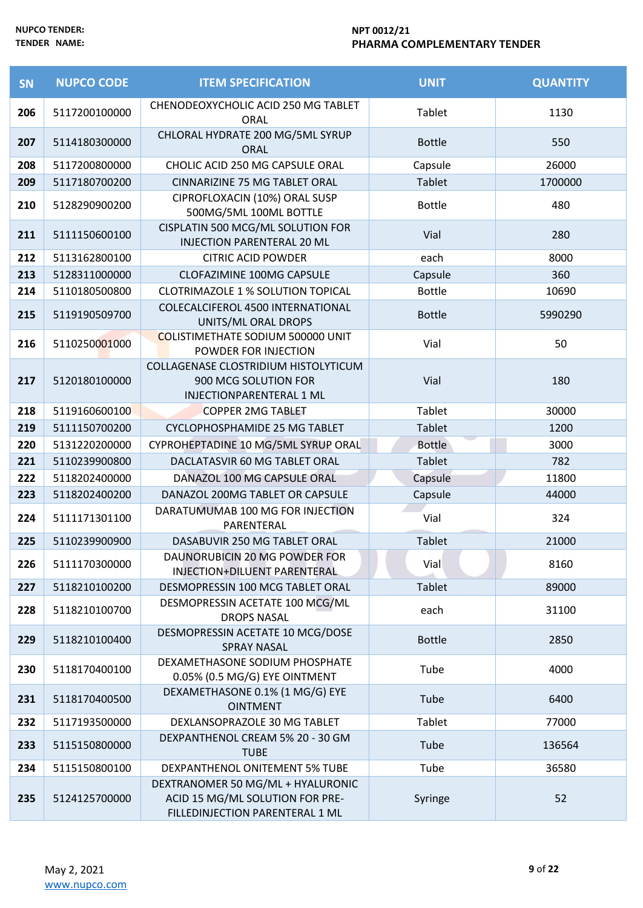| SN  | <b>NUPCO CODE</b> | <b>ITEM SPECIFICATION</b>                                                                               | <b>UNIT</b>   | <b>QUANTITY</b> |
|-----|-------------------|---------------------------------------------------------------------------------------------------------|---------------|-----------------|
| 206 | 5117200100000     | CHENODEOXYCHOLIC ACID 250 MG TABLET<br><b>ORAL</b>                                                      | Tablet        | 1130            |
| 207 | 5114180300000     | CHLORAL HYDRATE 200 MG/5ML SYRUP<br><b>ORAL</b>                                                         | <b>Bottle</b> | 550             |
| 208 | 5117200800000     | CHOLIC ACID 250 MG CAPSULE ORAL                                                                         | Capsule       | 26000           |
| 209 | 5117180700200     | CINNARIZINE 75 MG TABLET ORAL                                                                           | Tablet        | 1700000         |
| 210 | 5128290900200     | CIPROFLOXACIN (10%) ORAL SUSP<br>500MG/5ML 100ML BOTTLE                                                 | <b>Bottle</b> | 480             |
| 211 | 5111150600100     | CISPLATIN 500 MCG/ML SOLUTION FOR<br><b>INJECTION PARENTERAL 20 ML</b>                                  | Vial          | 280             |
| 212 | 5113162800100     | <b>CITRIC ACID POWDER</b>                                                                               | each          | 8000            |
| 213 | 5128311000000     | CLOFAZIMINE 100MG CAPSULE                                                                               | Capsule       | 360             |
| 214 | 5110180500800     | <b>CLOTRIMAZOLE 1 % SOLUTION TOPICAL</b>                                                                | <b>Bottle</b> | 10690           |
| 215 | 5119190509700     | COLECALCIFEROL 4500 INTERNATIONAL<br>UNITS/ML ORAL DROPS                                                | <b>Bottle</b> | 5990290         |
| 216 | 5110250001000     | COLISTIMETHATE SODIUM 500000 UNIT<br>POWDER FOR INJECTION                                               | Vial          | 50              |
| 217 | 5120180100000     | COLLAGENASE CLOSTRIDIUM HISTOLYTICUM<br>900 MCG SOLUTION FOR<br>INJECTIONPARENTERAL 1 ML                | Vial          | 180             |
| 218 | 5119160600100     | <b>COPPER 2MG TABLET</b>                                                                                | Tablet        | 30000           |
| 219 | 5111150700200     | CYCLOPHOSPHAMIDE 25 MG TABLET                                                                           | Tablet        | 1200            |
| 220 | 5131220200000     | CYPROHEPTADINE 10 MG/5ML SYRUP ORAL                                                                     | <b>Bottle</b> | 3000            |
| 221 | 5110239900800     | DACLATASVIR 60 MG TABLET ORAL                                                                           | Tablet        | 782             |
| 222 | 5118202400000     | DANAZOL 100 MG CAPSULE ORAL                                                                             | Capsule       | 11800           |
| 223 | 5118202400200     | DANAZOL 200MG TABLET OR CAPSULE                                                                         | Capsule       | 44000           |
| 224 | 5111171301100     | DARATUMUMAB 100 MG FOR INJECTION<br>PARENTERAL                                                          | Vial          | 324             |
| 225 | 5110239900900     | DASABUVIR 250 MG TABLET ORAL                                                                            | Tablet        | 21000           |
| 226 | 5111170300000     | DAUNORUBICIN 20 MG POWDER FOR<br>INJECTION+DILUENT PARENTERAL                                           | Vial          | 8160            |
| 227 | 5118210100200     | DESMOPRESSIN 100 MCG TABLET ORAL                                                                        | Tablet        | 89000           |
| 228 | 5118210100700     | DESMOPRESSIN ACETATE 100 MCG/ML<br><b>DROPS NASAL</b>                                                   | each          | 31100           |
| 229 | 5118210100400     | DESMOPRESSIN ACETATE 10 MCG/DOSE<br><b>SPRAY NASAL</b>                                                  | <b>Bottle</b> | 2850            |
| 230 | 5118170400100     | DEXAMETHASONE SODIUM PHOSPHATE<br>0.05% (0.5 MG/G) EYE OINTMENT                                         | Tube          | 4000            |
| 231 | 5118170400500     | DEXAMETHASONE 0.1% (1 MG/G) EYE<br><b>OINTMENT</b>                                                      | Tube          | 6400            |
| 232 | 5117193500000     | DEXLANSOPRAZOLE 30 MG TABLET                                                                            | Tablet        | 77000           |
| 233 | 5115150800000     | DEXPANTHENOL CREAM 5% 20 - 30 GM<br><b>TUBE</b>                                                         | Tube          | 136564          |
| 234 | 5115150800100     | DEXPANTHENOL ONITEMENT 5% TUBE                                                                          | Tube          | 36580           |
| 235 | 5124125700000     | DEXTRANOMER 50 MG/ML + HYALURONIC<br>ACID 15 MG/ML SOLUTION FOR PRE-<br>FILLEDINJECTION PARENTERAL 1 ML | Syringe       | 52              |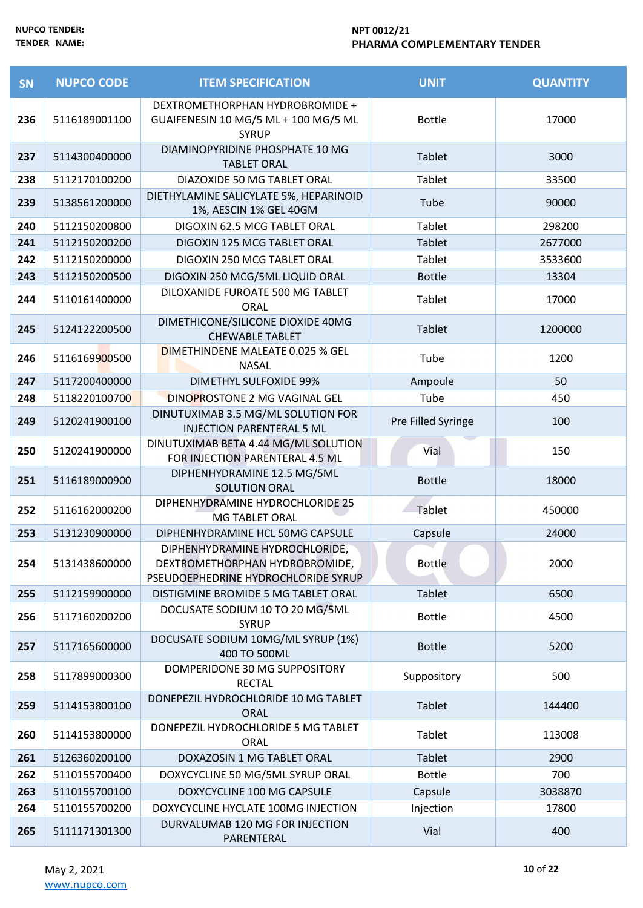| SN  | <b>NUPCO CODE</b> | <b>ITEM SPECIFICATION</b>                                                                              | <b>UNIT</b>        | <b>QUANTITY</b> |
|-----|-------------------|--------------------------------------------------------------------------------------------------------|--------------------|-----------------|
| 236 | 5116189001100     | DEXTROMETHORPHAN HYDROBROMIDE +<br>GUAIFENESIN 10 MG/5 ML + 100 MG/5 ML<br><b>SYRUP</b>                | <b>Bottle</b>      | 17000           |
| 237 | 5114300400000     | DIAMINOPYRIDINE PHOSPHATE 10 MG<br><b>TABLET ORAL</b>                                                  | Tablet             | 3000            |
| 238 | 5112170100200     | DIAZOXIDE 50 MG TABLET ORAL                                                                            | Tablet             | 33500           |
| 239 | 5138561200000     | DIETHYLAMINE SALICYLATE 5%, HEPARINOID<br>1%, AESCIN 1% GEL 40GM                                       | Tube               | 90000           |
| 240 | 5112150200800     | DIGOXIN 62.5 MCG TABLET ORAL                                                                           | <b>Tablet</b>      | 298200          |
| 241 | 5112150200200     | DIGOXIN 125 MCG TABLET ORAL                                                                            | <b>Tablet</b>      | 2677000         |
| 242 | 5112150200000     | DIGOXIN 250 MCG TABLET ORAL                                                                            | Tablet             | 3533600         |
| 243 | 5112150200500     | DIGOXIN 250 MCG/5ML LIQUID ORAL                                                                        | <b>Bottle</b>      | 13304           |
| 244 | 5110161400000     | DILOXANIDE FUROATE 500 MG TABLET<br><b>ORAL</b>                                                        | Tablet             | 17000           |
| 245 | 5124122200500     | DIMETHICONE/SILICONE DIOXIDE 40MG<br><b>CHEWABLE TABLET</b>                                            | Tablet             | 1200000         |
| 246 | 5116169900500     | DIMETHINDENE MALEATE 0.025 % GEL<br><b>NASAL</b>                                                       | Tube               | 1200            |
| 247 | 5117200400000     | <b>DIMETHYL SULFOXIDE 99%</b>                                                                          | Ampoule            | 50              |
| 248 | 5118220100700     | DINOPROSTONE 2 MG VAGINAL GEL                                                                          | Tube               | 450             |
| 249 | 5120241900100     | DINUTUXIMAB 3.5 MG/ML SOLUTION FOR<br><b>INJECTION PARENTERAL 5 ML</b>                                 | Pre Filled Syringe | 100             |
| 250 | 5120241900000     | DINUTUXIMAB BETA 4.44 MG/ML SOLUTION<br>FOR INJECTION PARENTERAL 4.5 ML                                | Vial               | 150             |
| 251 | 5116189000900     | DIPHENHYDRAMINE 12.5 MG/5ML<br><b>SOLUTION ORAL</b>                                                    | <b>Bottle</b>      | 18000           |
| 252 | 5116162000200     | DIPHENHYDRAMINE HYDROCHLORIDE 25<br>MG TABLET ORAL                                                     | Tablet             | 450000          |
| 253 | 5131230900000     | DIPHENHYDRAMINE HCL 50MG CAPSULE                                                                       | Capsule            | 24000           |
| 254 | 5131438600000     | DIPHENHYDRAMINE HYDROCHLORIDE<br>DEXTROMETHORPHAN HYDROBROMIDE,<br>PSEUDOEPHEDRINE HYDROCHLORIDE SYRUP | <b>Bottle</b>      | 2000            |
| 255 | 5112159900000     | DISTIGMINE BROMIDE 5 MG TABLET ORAL                                                                    | Tablet             | 6500            |
| 256 | 5117160200200     | DOCUSATE SODIUM 10 TO 20 MG/5ML<br><b>SYRUP</b>                                                        | <b>Bottle</b>      | 4500            |
| 257 | 5117165600000     | DOCUSATE SODIUM 10MG/ML SYRUP (1%)<br>400 TO 500ML                                                     | <b>Bottle</b>      | 5200            |
| 258 | 5117899000300     | DOMPERIDONE 30 MG SUPPOSITORY<br><b>RECTAL</b>                                                         | Suppository        | 500             |
| 259 | 5114153800100     | DONEPEZIL HYDROCHLORIDE 10 MG TABLET<br><b>ORAL</b>                                                    | Tablet             | 144400          |
| 260 | 5114153800000     | DONEPEZIL HYDROCHLORIDE 5 MG TABLET<br><b>ORAL</b>                                                     | Tablet             | 113008          |
| 261 | 5126360200100     | DOXAZOSIN 1 MG TABLET ORAL                                                                             | <b>Tablet</b>      | 2900            |
| 262 | 5110155700400     | DOXYCYCLINE 50 MG/5ML SYRUP ORAL                                                                       | <b>Bottle</b>      | 700             |
| 263 | 5110155700100     | DOXYCYCLINE 100 MG CAPSULE                                                                             | Capsule            | 3038870         |
| 264 | 5110155700200     | DOXYCYCLINE HYCLATE 100MG INJECTION                                                                    | Injection          | 17800           |
| 265 | 5111171301300     | DURVALUMAB 120 MG FOR INJECTION<br>PARENTERAL                                                          | Vial               | 400             |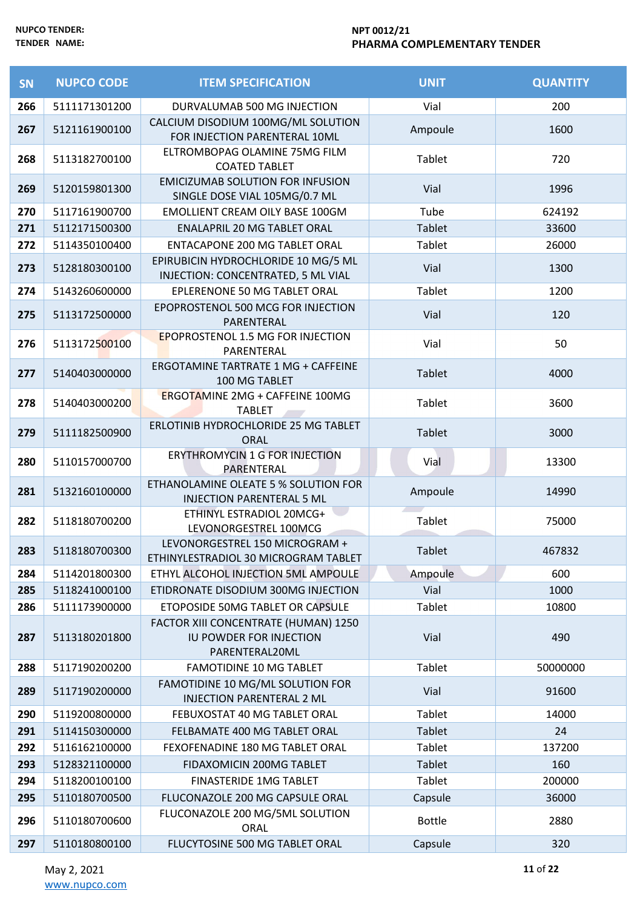| SN  | <b>NUPCO CODE</b> | <b>ITEM SPECIFICATION</b>                                                         | <b>UNIT</b>   | <b>QUANTITY</b> |
|-----|-------------------|-----------------------------------------------------------------------------------|---------------|-----------------|
| 266 | 5111171301200     | DURVALUMAB 500 MG INJECTION                                                       | Vial          | 200             |
| 267 | 5121161900100     | CALCIUM DISODIUM 100MG/ML SOLUTION<br>FOR INJECTION PARENTERAL 10ML               | Ampoule       | 1600            |
| 268 | 5113182700100     | ELTROMBOPAG OLAMINE 75MG FILM<br><b>COATED TABLET</b>                             | Tablet        | 720             |
| 269 | 5120159801300     | <b>EMICIZUMAB SOLUTION FOR INFUSION</b><br>SINGLE DOSE VIAL 105MG/0.7 ML          | Vial          | 1996            |
| 270 | 5117161900700     | <b>EMOLLIENT CREAM OILY BASE 100GM</b>                                            | Tube          | 624192          |
| 271 | 5112171500300     | <b>ENALAPRIL 20 MG TABLET ORAL</b>                                                | <b>Tablet</b> | 33600           |
| 272 | 5114350100400     | <b>ENTACAPONE 200 MG TABLET ORAL</b>                                              | Tablet        | 26000           |
| 273 | 5128180300100     | EPIRUBICIN HYDROCHLORIDE 10 MG/5 ML<br>INJECTION: CONCENTRATED, 5 ML VIAL         | Vial          | 1300            |
| 274 | 5143260600000     | EPLERENONE 50 MG TABLET ORAL                                                      | Tablet        | 1200            |
| 275 | 5113172500000     | EPOPROSTENOL 500 MCG FOR INJECTION<br>PARENTERAL                                  | Vial          | 120             |
| 276 | 5113172500100     | <b>EPOPROSTENOL 1.5 MG FOR INJECTION</b><br>PARENTERAL                            | Vial          | 50              |
| 277 | 5140403000000     | <b>ERGOTAMINE TARTRATE 1 MG + CAFFEINE</b><br>100 MG TABLET                       | <b>Tablet</b> | 4000            |
| 278 | 5140403000200     | ERGOTAMINE 2MG + CAFFEINE 100MG<br><b>TABLET</b>                                  | Tablet        | 3600            |
| 279 | 5111182500900     | ERLOTINIB HYDROCHLORIDE 25 MG TABLET<br><b>ORAL</b>                               | Tablet        | 3000            |
| 280 | 5110157000700     | ERYTHROMYCIN 1 G FOR INJECTION<br>PARENTERAL                                      | Vial          | 13300           |
| 281 | 5132160100000     | ETHANOLAMINE OLEATE 5 % SOLUTION FOR<br><b>INJECTION PARENTERAL 5 ML</b>          | Ampoule       | 14990           |
| 282 | 5118180700200     | ETHINYL ESTRADIOL 20MCG+<br>LEVONORGESTREL 100MCG                                 | Tablet        | 75000           |
| 283 | 5118180700300     | LEVONORGESTREL 150 MICROGRAM +<br>ETHINYLESTRADIOL 30 MICROGRAM TABLET            | Tablet        | 467832          |
| 284 | 5114201800300     | ETHYL ALCOHOL INJECTION 5ML AMPOULE                                               | Ampoule       | 600             |
| 285 | 5118241000100     | ETIDRONATE DISODIUM 300MG INJECTION                                               | Vial          | 1000            |
| 286 | 5111173900000     | ETOPOSIDE 50MG TABLET OR CAPSULE                                                  | Tablet        | 10800           |
| 287 | 5113180201800     | FACTOR XIII CONCENTRATE (HUMAN) 1250<br>IU POWDER FOR INJECTION<br>PARENTERAL20ML | Vial          | 490             |
| 288 | 5117190200200     | <b>FAMOTIDINE 10 MG TABLET</b>                                                    | <b>Tablet</b> | 50000000        |
| 289 | 5117190200000     | FAMOTIDINE 10 MG/ML SOLUTION FOR<br><b>INJECTION PARENTERAL 2 ML</b>              | Vial          | 91600           |
| 290 | 5119200800000     | FEBUXOSTAT 40 MG TABLET ORAL                                                      | Tablet        | 14000           |
| 291 | 5114150300000     | FELBAMATE 400 MG TABLET ORAL                                                      | <b>Tablet</b> | 24              |
| 292 | 5116162100000     | FEXOFENADINE 180 MG TABLET ORAL                                                   | Tablet        | 137200          |
| 293 | 5128321100000     | FIDAXOMICIN 200MG TABLET                                                          | <b>Tablet</b> | 160             |
| 294 | 5118200100100     | <b>FINASTERIDE 1MG TABLET</b>                                                     | Tablet        | 200000          |
| 295 | 5110180700500     | FLUCONAZOLE 200 MG CAPSULE ORAL                                                   | Capsule       | 36000           |
| 296 | 5110180700600     | FLUCONAZOLE 200 MG/5ML SOLUTION<br>ORAL                                           | <b>Bottle</b> | 2880            |
| 297 | 5110180800100     | FLUCYTOSINE 500 MG TABLET ORAL                                                    | Capsule       | 320             |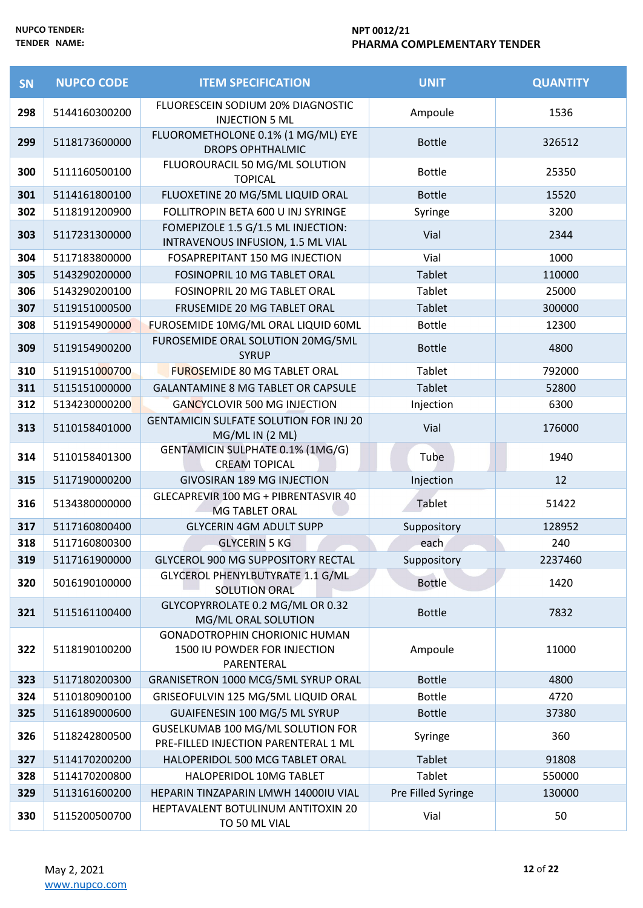| SN  | <b>NUPCO CODE</b> | <b>ITEM SPECIFICATION</b>                                                          | <b>UNIT</b>        | <b>QUANTITY</b> |
|-----|-------------------|------------------------------------------------------------------------------------|--------------------|-----------------|
| 298 | 5144160300200     | FLUORESCEIN SODIUM 20% DIAGNOSTIC<br><b>INJECTION 5 ML</b>                         | Ampoule            | 1536            |
| 299 | 5118173600000     | FLUOROMETHOLONE 0.1% (1 MG/ML) EYE<br><b>DROPS OPHTHALMIC</b>                      | <b>Bottle</b>      | 326512          |
| 300 | 5111160500100     | FLUOROURACIL 50 MG/ML SOLUTION<br><b>TOPICAL</b>                                   | <b>Bottle</b>      | 25350           |
| 301 | 5114161800100     | FLUOXETINE 20 MG/5ML LIQUID ORAL                                                   | <b>Bottle</b>      | 15520           |
| 302 | 5118191200900     | FOLLITROPIN BETA 600 U INJ SYRINGE                                                 | Syringe            | 3200            |
| 303 | 5117231300000     | FOMEPIZOLE 1.5 G/1.5 ML INJECTION:<br>INTRAVENOUS INFUSION, 1.5 ML VIAL            | Vial               | 2344            |
| 304 | 5117183800000     | FOSAPREPITANT 150 MG INJECTION                                                     | Vial               | 1000            |
| 305 | 5143290200000     | FOSINOPRIL 10 MG TABLET ORAL                                                       | <b>Tablet</b>      | 110000          |
| 306 | 5143290200100     | <b>FOSINOPRIL 20 MG TABLET ORAL</b>                                                | Tablet             | 25000           |
| 307 | 5119151000500     | FRUSEMIDE 20 MG TABLET ORAL                                                        | <b>Tablet</b>      | 300000          |
| 308 | 5119154900000     | FUROSEMIDE 10MG/ML ORAL LIQUID 60ML                                                | <b>Bottle</b>      | 12300           |
| 309 | 5119154900200     | FUROSEMIDE ORAL SOLUTION 20MG/5ML<br><b>SYRUP</b>                                  | <b>Bottle</b>      | 4800            |
| 310 | 5119151000700     | <b>FUROSEMIDE 80 MG TABLET ORAL</b>                                                | Tablet             | 792000          |
| 311 | 5115151000000     | <b>GALANTAMINE 8 MG TABLET OR CAPSULE</b>                                          | Tablet             | 52800           |
| 312 | 5134230000200     | GANCYCLOVIR 500 MG INJECTION                                                       | Injection          | 6300            |
| 313 | 5110158401000     | <b>GENTAMICIN SULFATE SOLUTION FOR INJ 20</b><br>MG/ML IN (2 ML)                   | Vial               | 176000          |
| 314 | 5110158401300     | <b>GENTAMICIN SULPHATE 0.1% (1MG/G)</b><br><b>CREAM TOPICAL</b>                    | Tube               | 1940            |
| 315 | 5117190000200     | <b>GIVOSIRAN 189 MG INJECTION</b>                                                  | Injection          | 12              |
| 316 | 5134380000000     | GLECAPREVIR 100 MG + PIBRENTASVIR 40<br><b>MG TABLET ORAL</b>                      | Tablet             | 51422           |
| 317 | 5117160800400     | <b>GLYCERIN 4GM ADULT SUPP</b>                                                     | Suppository        | 128952          |
| 318 | 5117160800300     | <b>GLYCERIN 5 KG</b>                                                               | each               | 240             |
| 319 | 5117161900000     | GLYCEROL 900 MG SUPPOSITORY RECTAL                                                 | Suppository        | 2237460         |
| 320 | 5016190100000     | <b>GLYCEROL PHENYLBUTYRATE 1.1 G/ML</b><br>SOLUTION ORAL                           | <b>Bottle</b>      | 1420            |
| 321 | 5115161100400     | GLYCOPYRROLATE 0.2 MG/ML OR 0.32<br>MG/ML ORAL SOLUTION                            | <b>Bottle</b>      | 7832            |
| 322 | 5118190100200     | <b>GONADOTROPHIN CHORIONIC HUMAN</b><br>1500 IU POWDER FOR INJECTION<br>PARENTERAL | Ampoule            | 11000           |
| 323 | 5117180200300     | GRANISETRON 1000 MCG/5ML SYRUP ORAL                                                | <b>Bottle</b>      | 4800            |
| 324 | 5110180900100     | GRISEOFULVIN 125 MG/5ML LIQUID ORAL                                                | <b>Bottle</b>      | 4720            |
| 325 | 5116189000600     | GUAIFENESIN 100 MG/5 ML SYRUP                                                      | <b>Bottle</b>      | 37380           |
| 326 | 5118242800500     | GUSELKUMAB 100 MG/ML SOLUTION FOR<br>PRE-FILLED INJECTION PARENTERAL 1 ML          | Syringe            | 360             |
| 327 | 5114170200200     | HALOPERIDOL 500 MCG TABLET ORAL                                                    | Tablet             | 91808           |
| 328 | 5114170200800     | HALOPERIDOL 10MG TABLET                                                            | Tablet             | 550000          |
| 329 | 5113161600200     | HEPARIN TINZAPARIN LMWH 14000IU VIAL                                               | Pre Filled Syringe | 130000          |
| 330 | 5115200500700     | HEPTAVALENT BOTULINUM ANTITOXIN 20<br>TO 50 ML VIAL                                | Vial               | 50              |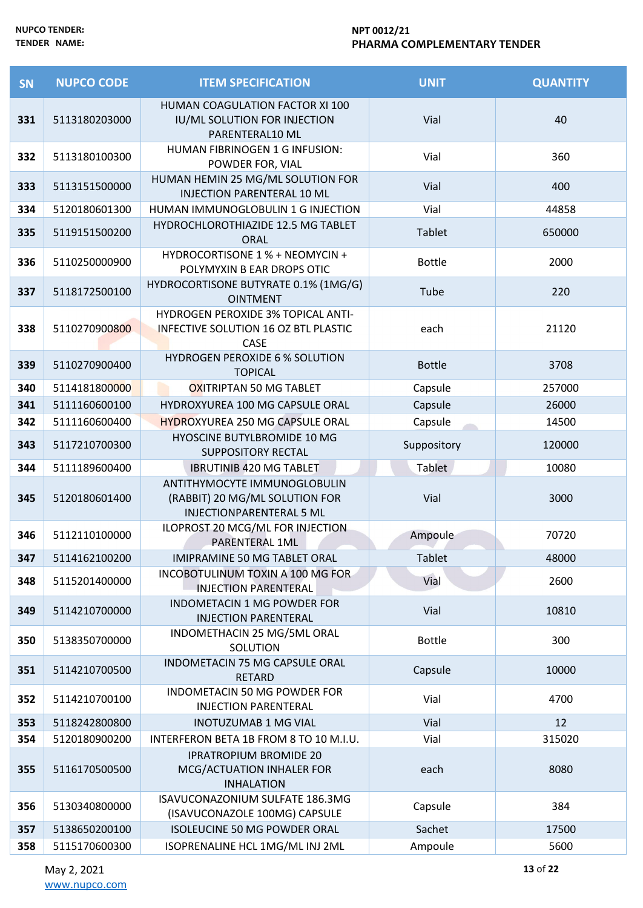| <b>SN</b> | <b>NUPCO CODE</b> | <b>ITEM SPECIFICATION</b>                                                                         | <b>UNIT</b>   | <b>QUANTITY</b> |
|-----------|-------------------|---------------------------------------------------------------------------------------------------|---------------|-----------------|
| 331       | 5113180203000     | HUMAN COAGULATION FACTOR XI 100<br>IU/ML SOLUTION FOR INJECTION<br>PARENTERAL10 ML                | Vial          | 40              |
| 332       | 5113180100300     | HUMAN FIBRINOGEN 1 G INFUSION:<br>POWDER FOR, VIAL                                                | Vial          | 360             |
| 333       | 5113151500000     | HUMAN HEMIN 25 MG/ML SOLUTION FOR<br><b>INJECTION PARENTERAL 10 ML</b>                            | Vial          | 400             |
| 334       | 5120180601300     | HUMAN IMMUNOGLOBULIN 1 G INJECTION                                                                | Vial          | 44858           |
| 335       | 5119151500200     | HYDROCHLOROTHIAZIDE 12.5 MG TABLET<br><b>ORAL</b>                                                 | Tablet        | 650000          |
| 336       | 5110250000900     | HYDROCORTISONE 1 % + NEOMYCIN +<br>POLYMYXIN B EAR DROPS OTIC                                     | <b>Bottle</b> | 2000            |
| 337       | 5118172500100     | HYDROCORTISONE BUTYRATE 0.1% (1MG/G)<br><b>OINTMENT</b>                                           | Tube          | 220             |
| 338       | 5110270900800     | <b>HYDROGEN PEROXIDE 3% TOPICAL ANTI-</b><br><b>INFECTIVE SOLUTION 16 OZ BTL PLASTIC</b><br>CASE  | each          | 21120           |
| 339       | 5110270900400     | <b>HYDROGEN PEROXIDE 6 % SOLUTION</b><br><b>TOPICAL</b>                                           | <b>Bottle</b> | 3708            |
| 340       | 5114181800000     | OXITRIPTAN 50 MG TABLET                                                                           | Capsule       | 257000          |
| 341       | 5111160600100     | HYDROXYUREA 100 MG CAPSULE ORAL                                                                   | Capsule       | 26000           |
| 342       | 5111160600400     | <b>HYDROXYUREA 250 MG CAPSULE ORAL</b>                                                            | Capsule       | 14500           |
| 343       | 5117210700300     | HYOSCINE BUTYLBROMIDE 10 MG<br><b>SUPPOSITORY RECTAL</b>                                          | Suppository   | 120000          |
| 344       | 5111189600400     | <b>IBRUTINIB 420 MG TABLET</b>                                                                    | <b>Tablet</b> | 10080           |
| 345       | 5120180601400     | ANTITHYMOCYTE IMMUNOGLOBULIN<br>(RABBIT) 20 MG/ML SOLUTION FOR<br><b>INJECTIONPARENTERAL 5 ML</b> | Vial          | 3000            |
| 346       | 5112110100000     | ILOPROST 20 MCG/ML FOR INJECTION<br>PARENTERAL 1ML                                                | Ampoule       | 70720           |
| 347       | 5114162100200     | <b>IMIPRAMINE 50 MG TABLET ORAL</b>                                                               | <b>Tablet</b> | 48000           |
| 348       | 5115201400000     | INCOBOTULINUM TOXIN A 100 MG FOR<br><b>INJECTION PARENTERAL</b>                                   | Vial          | 2600            |
| 349       | 5114210700000     | INDOMETACIN 1 MG POWDER FOR<br><b>INJECTION PARENTERAL</b>                                        | Vial          | 10810           |
| 350       | 5138350700000     | INDOMETHACIN 25 MG/5ML ORAL<br>SOLUTION                                                           | <b>Bottle</b> | 300             |
| 351       | 5114210700500     | INDOMETACIN 75 MG CAPSULE ORAL<br><b>RETARD</b>                                                   | Capsule       | 10000           |
| 352       | 5114210700100     | INDOMETACIN 50 MG POWDER FOR<br><b>INJECTION PARENTERAL</b>                                       | Vial          | 4700            |
| 353       | 5118242800800     | <b>INOTUZUMAB 1 MG VIAL</b>                                                                       | Vial          | 12              |
| 354       | 5120180900200     | INTERFERON BETA 1B FROM 8 TO 10 M.I.U.                                                            | Vial          | 315020          |
| 355       | 5116170500500     | <b>IPRATROPIUM BROMIDE 20</b><br>MCG/ACTUATION INHALER FOR<br><b>INHALATION</b>                   | each          | 8080            |
| 356       | 5130340800000     | ISAVUCONAZONIUM SULFATE 186.3MG<br>(ISAVUCONAZOLE 100MG) CAPSULE                                  | Capsule       | 384             |
| 357       | 5138650200100     | ISOLEUCINE 50 MG POWDER ORAL                                                                      | Sachet        | 17500           |
| 358       | 5115170600300     | ISOPRENALINE HCL 1MG/ML INJ 2ML                                                                   | Ampoule       | 5600            |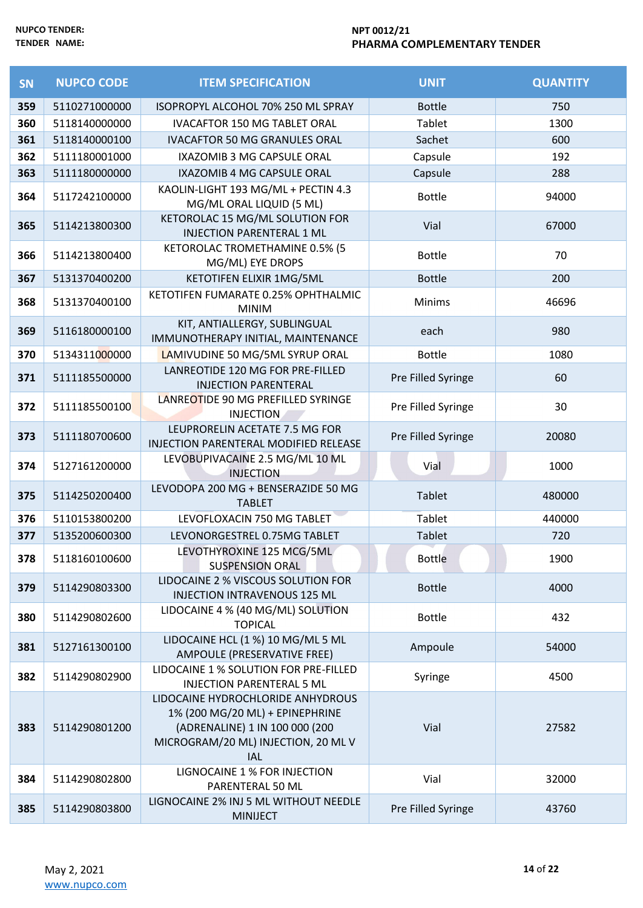| SN  | <b>NUPCO CODE</b> | <b>ITEM SPECIFICATION</b>                                                                                                                                   | <b>UNIT</b>        | <b>QUANTITY</b> |
|-----|-------------------|-------------------------------------------------------------------------------------------------------------------------------------------------------------|--------------------|-----------------|
| 359 | 5110271000000     | ISOPROPYL ALCOHOL 70% 250 ML SPRAY                                                                                                                          | <b>Bottle</b>      | 750             |
| 360 | 5118140000000     | <b>IVACAFTOR 150 MG TABLET ORAL</b>                                                                                                                         | Tablet             | 1300            |
| 361 | 5118140000100     | <b>IVACAFTOR 50 MG GRANULES ORAL</b>                                                                                                                        | Sachet             | 600             |
| 362 | 5111180001000     | IXAZOMIB 3 MG CAPSULE ORAL                                                                                                                                  | Capsule            | 192             |
| 363 | 5111180000000     | IXAZOMIB 4 MG CAPSULE ORAL                                                                                                                                  | Capsule            | 288             |
| 364 | 5117242100000     | KAOLIN-LIGHT 193 MG/ML + PECTIN 4.3<br>MG/ML ORAL LIQUID (5 ML)                                                                                             | <b>Bottle</b>      | 94000           |
| 365 | 5114213800300     | KETOROLAC 15 MG/ML SOLUTION FOR<br><b>INJECTION PARENTERAL 1 ML</b>                                                                                         | Vial               | 67000           |
| 366 | 5114213800400     | KETOROLAC TROMETHAMINE 0.5% (5<br>MG/ML) EYE DROPS                                                                                                          | <b>Bottle</b>      | 70              |
| 367 | 5131370400200     | KETOTIFEN ELIXIR 1MG/5ML                                                                                                                                    | <b>Bottle</b>      | 200             |
| 368 | 5131370400100     | KETOTIFEN FUMARATE 0.25% OPHTHALMIC<br><b>MINIM</b>                                                                                                         | Minims             | 46696           |
| 369 | 5116180000100     | KIT, ANTIALLERGY, SUBLINGUAL<br>IMMUNOTHERAPY INITIAL, MAINTENANCE                                                                                          | each               | 980             |
| 370 | 5134311000000     | LAMIVUDINE 50 MG/5ML SYRUP ORAL                                                                                                                             | <b>Bottle</b>      | 1080            |
| 371 | 5111185500000     | LANREOTIDE 120 MG FOR PRE-FILLED<br><b>INJECTION PARENTERAL</b>                                                                                             | Pre Filled Syringe | 60              |
| 372 | 5111185500100     | LANREOTIDE 90 MG PREFILLED SYRINGE<br><b>INJECTION</b>                                                                                                      | Pre Filled Syringe | 30              |
| 373 | 5111180700600     | LEUPRORELIN ACETATE 7.5 MG FOR<br>INJECTION PARENTERAL MODIFIED RELEASE                                                                                     | Pre Filled Syringe | 20080           |
| 374 | 5127161200000     | LEVOBUPIVACAINE 2.5 MG/ML 10 ML<br><b>INJECTION</b>                                                                                                         | Vial               | 1000            |
| 375 | 5114250200400     | LEVODOPA 200 MG + BENSERAZIDE 50 MG<br><b>TABLET</b>                                                                                                        | Tablet             | 480000          |
| 376 | 5110153800200     | LEVOFLOXACIN 750 MG TABLET                                                                                                                                  | Tablet             | 440000          |
| 377 | 5135200600300     | LEVONORGESTREL 0.75MG TABLET                                                                                                                                | <b>Tablet</b>      | 720             |
| 378 | 5118160100600     | LEVOTHYROXINE 125 MCG/5ML<br><b>SUSPENSION ORAL</b>                                                                                                         | <b>Bottle</b>      | 1900            |
| 379 | 5114290803300     | LIDOCAINE 2 % VISCOUS SOLUTION FOR<br>INJECTION INTRAVENOUS 125 ML                                                                                          | <b>Bottle</b>      | 4000            |
| 380 | 5114290802600     | LIDOCAINE 4 % (40 MG/ML) SOLUTION<br><b>TOPICAL</b>                                                                                                         | <b>Bottle</b>      | 432             |
| 381 | 5127161300100     | LIDOCAINE HCL (1 %) 10 MG/ML 5 ML<br><b>AMPOULE (PRESERVATIVE FREE)</b>                                                                                     | Ampoule            | 54000           |
| 382 | 5114290802900     | LIDOCAINE 1 % SOLUTION FOR PRE-FILLED<br><b>INJECTION PARENTERAL 5 ML</b>                                                                                   | Syringe            | 4500            |
| 383 | 5114290801200     | LIDOCAINE HYDROCHLORIDE ANHYDROUS<br>1% (200 MG/20 ML) + EPINEPHRINE<br>(ADRENALINE) 1 IN 100 000 (200<br>MICROGRAM/20 ML) INJECTION, 20 ML V<br><b>IAL</b> | Vial               | 27582           |
| 384 | 5114290802800     | LIGNOCAINE 1 % FOR INJECTION<br>PARENTERAL 50 ML                                                                                                            | Vial               | 32000           |
| 385 | 5114290803800     | LIGNOCAINE 2% INJ 5 ML WITHOUT NEEDLE<br><b>MINIJECT</b>                                                                                                    | Pre Filled Syringe | 43760           |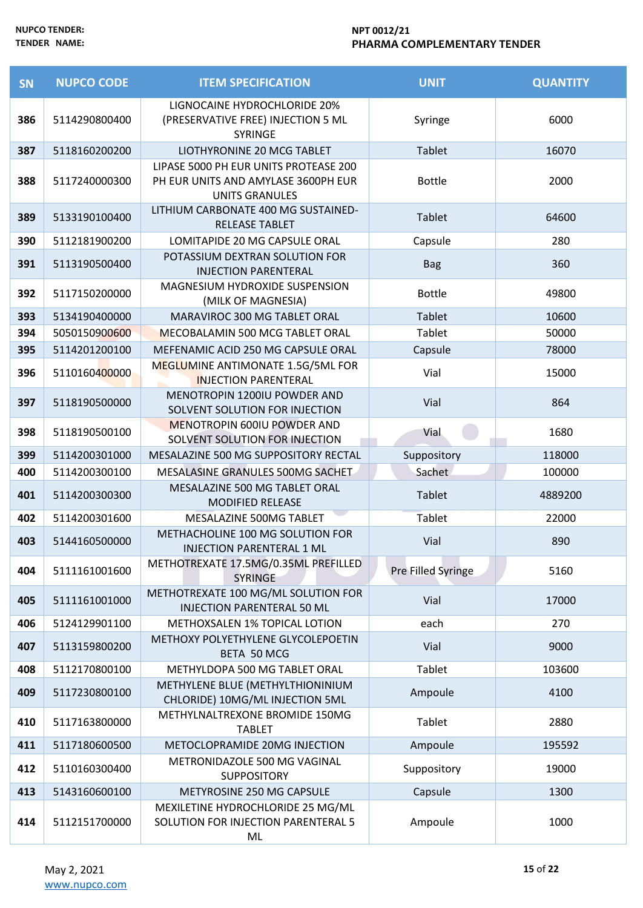| SN  | <b>NUPCO CODE</b> | <b>ITEM SPECIFICATION</b>                                                                             | <b>UNIT</b>        | <b>QUANTITY</b> |
|-----|-------------------|-------------------------------------------------------------------------------------------------------|--------------------|-----------------|
| 386 | 5114290800400     | LIGNOCAINE HYDROCHLORIDE 20%<br>(PRESERVATIVE FREE) INJECTION 5 ML<br><b>SYRINGE</b>                  | Syringe            | 6000            |
| 387 | 5118160200200     | LIOTHYRONINE 20 MCG TABLET                                                                            | <b>Tablet</b>      | 16070           |
| 388 | 5117240000300     | LIPASE 5000 PH EUR UNITS PROTEASE 200<br>PH EUR UNITS AND AMYLASE 3600PH EUR<br><b>UNITS GRANULES</b> | <b>Bottle</b>      | 2000            |
| 389 | 5133190100400     | LITHIUM CARBONATE 400 MG SUSTAINED-<br><b>RELEASE TABLET</b>                                          | Tablet             | 64600           |
| 390 | 5112181900200     | LOMITAPIDE 20 MG CAPSULE ORAL                                                                         | Capsule            | 280             |
| 391 | 5113190500400     | POTASSIUM DEXTRAN SOLUTION FOR<br><b>INJECTION PARENTERAL</b>                                         | <b>Bag</b>         | 360             |
| 392 | 5117150200000     | MAGNESIUM HYDROXIDE SUSPENSION<br>(MILK OF MAGNESIA)                                                  | <b>Bottle</b>      | 49800           |
| 393 | 5134190400000     | MARAVIROC 300 MG TABLET ORAL                                                                          | <b>Tablet</b>      | 10600           |
| 394 | 5050150900600     | MECOBALAMIN 500 MCG TABLET ORAL                                                                       | Tablet             | 50000           |
| 395 | 5114201200100     | MEFENAMIC ACID 250 MG CAPSULE ORAL                                                                    | Capsule            | 78000           |
| 396 | 5110160400000     | MEGLUMINE ANTIMONATE 1.5G/5ML FOR<br><b>INJECTION PARENTERAL</b>                                      | Vial               | 15000           |
| 397 | 5118190500000     | MENOTROPIN 1200IU POWDER AND<br>SOLVENT SOLUTION FOR INJECTION                                        | Vial               | 864             |
| 398 | 5118190500100     | <b>MENOTROPIN 600IU POWDER AND</b><br>SOLVENT SOLUTION FOR INJECTION                                  | Vial               | 1680            |
| 399 | 5114200301000     | MESALAZINE 500 MG SUPPOSITORY RECTAL                                                                  | Suppository        | 118000          |
| 400 | 5114200300100     | MESALASINE GRANULES 500MG SACHET                                                                      | Sachet             | 100000          |
| 401 | 5114200300300     | MESALAZINE 500 MG TABLET ORAL<br><b>MODIFIED RELEASE</b>                                              | <b>Tablet</b>      | 4889200         |
| 402 | 5114200301600     | MESALAZINE 500MG TABLET                                                                               | <b>Tablet</b>      | 22000           |
| 403 | 5144160500000     | METHACHOLINE 100 MG SOLUTION FOR<br><b>INJECTION PARENTERAL 1 ML</b>                                  | Vial               | 890             |
| 404 | 5111161001600     | METHOTREXATE 17.5MG/0.35ML PREFILLED<br><b>SYRINGE</b>                                                | Pre Filled Syringe | 5160            |
| 405 | 5111161001000     | METHOTREXATE 100 MG/ML SOLUTION FOR<br><b>INJECTION PARENTERAL 50 ML</b>                              | Vial               | 17000           |
| 406 | 5124129901100     | METHOXSALEN 1% TOPICAL LOTION                                                                         | each               | 270             |
| 407 | 5113159800200     | METHOXY POLYETHYLENE GLYCOLEPOETIN<br>BETA 50 MCG                                                     | Vial               | 9000            |
| 408 | 5112170800100     | METHYLDOPA 500 MG TABLET ORAL                                                                         | Tablet             | 103600          |
| 409 | 5117230800100     | METHYLENE BLUE (METHYLTHIONINIUM<br>CHLORIDE) 10MG/ML INJECTION 5ML                                   | Ampoule            | 4100            |
| 410 | 5117163800000     | METHYLNALTREXONE BROMIDE 150MG<br><b>TABLET</b>                                                       | Tablet             | 2880            |
| 411 | 5117180600500     | METOCLOPRAMIDE 20MG INJECTION                                                                         | Ampoule            | 195592          |
| 412 | 5110160300400     | METRONIDAZOLE 500 MG VAGINAL<br><b>SUPPOSITORY</b>                                                    | Suppository        | 19000           |
| 413 | 5143160600100     | METYROSINE 250 MG CAPSULE                                                                             | Capsule            | 1300            |
| 414 | 5112151700000     | MEXILETINE HYDROCHLORIDE 25 MG/ML<br>SOLUTION FOR INJECTION PARENTERAL 5<br>ML                        | Ampoule            | 1000            |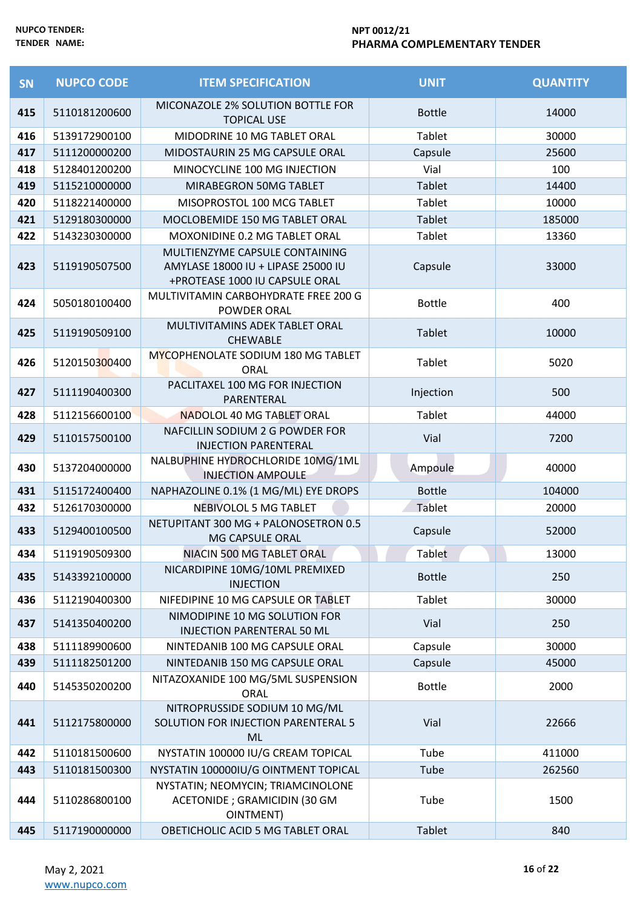| SN  | <b>NUPCO CODE</b> | <b>ITEM SPECIFICATION</b>                                                                              | <b>UNIT</b>   | <b>QUANTITY</b> |
|-----|-------------------|--------------------------------------------------------------------------------------------------------|---------------|-----------------|
| 415 | 5110181200600     | MICONAZOLE 2% SOLUTION BOTTLE FOR<br><b>TOPICAL USE</b>                                                | <b>Bottle</b> | 14000           |
| 416 | 5139172900100     | MIDODRINE 10 MG TABLET ORAL                                                                            | <b>Tablet</b> | 30000           |
| 417 | 5111200000200     | MIDOSTAURIN 25 MG CAPSULE ORAL                                                                         | Capsule       | 25600           |
| 418 | 5128401200200     | MINOCYCLINE 100 MG INJECTION                                                                           | Vial          | 100             |
| 419 | 5115210000000     | MIRABEGRON 50MG TABLET                                                                                 | <b>Tablet</b> | 14400           |
| 420 | 5118221400000     | MISOPROSTOL 100 MCG TABLET                                                                             | Tablet        | 10000           |
| 421 | 5129180300000     | MOCLOBEMIDE 150 MG TABLET ORAL                                                                         | Tablet        | 185000          |
| 422 | 5143230300000     | MOXONIDINE 0.2 MG TABLET ORAL                                                                          | Tablet        | 13360           |
| 423 | 5119190507500     | MULTIENZYME CAPSULE CONTAINING<br>AMYLASE 18000 IU + LIPASE 25000 IU<br>+PROTEASE 1000 IU CAPSULE ORAL | Capsule       | 33000           |
| 424 | 5050180100400     | MULTIVITAMIN CARBOHYDRATE FREE 200 G<br>POWDER ORAL                                                    | <b>Bottle</b> | 400             |
| 425 | 5119190509100     | MULTIVITAMINS ADEK TABLET ORAL<br><b>CHEWABLE</b>                                                      | <b>Tablet</b> | 10000           |
| 426 | 5120150300400     | MYCOPHENOLATE SODIUM 180 MG TABLET<br>ORAL                                                             | Tablet        | 5020            |
| 427 | 5111190400300     | PACLITAXEL 100 MG FOR INJECTION<br>PARENTERAL                                                          | Injection     | 500             |
| 428 | 5112156600100     | NADOLOL 40 MG TABLET ORAL                                                                              | Tablet        | 44000           |
| 429 | 5110157500100     | NAFCILLIN SODIUM 2 G POWDER FOR<br><b>INJECTION PARENTERAL</b>                                         | Vial          | 7200            |
| 430 | 5137204000000     | NALBUPHINE HYDROCHLORIDE 10MG/1ML<br><b>INJECTION AMPOULE</b>                                          | Ampoule       | 40000           |
| 431 | 5115172400400     | NAPHAZOLINE 0.1% (1 MG/ML) EYE DROPS                                                                   | <b>Bottle</b> | 104000          |
| 432 | 5126170300000     | NEBIVOLOL 5 MG TABLET                                                                                  | Tablet        | 20000           |
| 433 | 5129400100500     | NETUPITANT 300 MG + PALONOSETRON 0.5<br>MG CAPSULE ORAL                                                | Capsule       | 52000           |
| 434 | 5119190509300     | NIACIN 500 MG TABLET ORAL                                                                              | Tablet        | 13000           |
| 435 | 5143392100000     | NICARDIPINE 10MG/10ML PREMIXED<br><b>INJECTION</b>                                                     | <b>Bottle</b> | 250             |
| 436 | 5112190400300     | NIFEDIPINE 10 MG CAPSULE OR TABLET                                                                     | <b>Tablet</b> | 30000           |
| 437 | 5141350400200     | NIMODIPINE 10 MG SOLUTION FOR<br><b>INJECTION PARENTERAL 50 ML</b>                                     | Vial          | 250             |
| 438 | 5111189900600     | NINTEDANIB 100 MG CAPSULE ORAL                                                                         | Capsule       | 30000           |
| 439 | 5111182501200     | NINTEDANIB 150 MG CAPSULE ORAL                                                                         | Capsule       | 45000           |
| 440 | 5145350200200     | NITAZOXANIDE 100 MG/5ML SUSPENSION<br>ORAL                                                             | <b>Bottle</b> | 2000            |
| 441 | 5112175800000     | NITROPRUSSIDE SODIUM 10 MG/ML<br>SOLUTION FOR INJECTION PARENTERAL 5<br><b>ML</b>                      | Vial          | 22666           |
| 442 | 5110181500600     | NYSTATIN 100000 IU/G CREAM TOPICAL                                                                     | Tube          | 411000          |
| 443 | 5110181500300     | NYSTATIN 100000IU/G OINTMENT TOPICAL                                                                   | Tube          | 262560          |
| 444 | 5110286800100     | NYSTATIN; NEOMYCIN; TRIAMCINOLONE<br>ACETONIDE ; GRAMICIDIN (30 GM<br><b>OINTMENT</b> )                | Tube          | 1500            |
| 445 | 5117190000000     | OBETICHOLIC ACID 5 MG TABLET ORAL                                                                      | <b>Tablet</b> | 840             |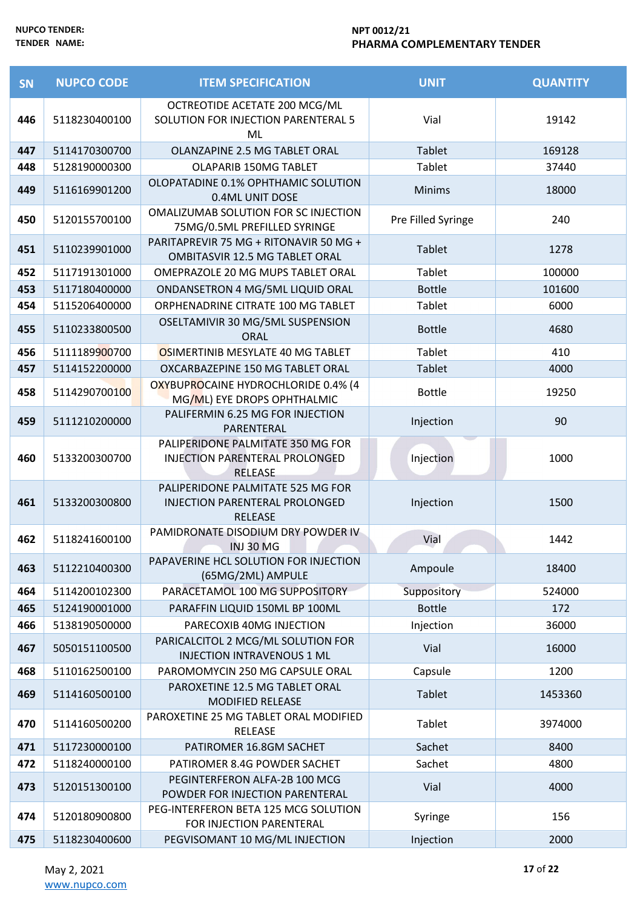| SN  | <b>NUPCO CODE</b> | <b>ITEM SPECIFICATION</b>                                                                    | <b>UNIT</b>        | <b>QUANTITY</b> |
|-----|-------------------|----------------------------------------------------------------------------------------------|--------------------|-----------------|
| 446 | 5118230400100     | OCTREOTIDE ACETATE 200 MCG/ML<br>SOLUTION FOR INJECTION PARENTERAL 5<br>ML                   | Vial               | 19142           |
| 447 | 5114170300700     | OLANZAPINE 2.5 MG TABLET ORAL                                                                | <b>Tablet</b>      | 169128          |
| 448 | 5128190000300     | OLAPARIB 150MG TABLET                                                                        | Tablet             | 37440           |
| 449 | 5116169901200     | OLOPATADINE 0.1% OPHTHAMIC SOLUTION<br>0.4ML UNIT DOSE                                       | <b>Minims</b>      | 18000           |
| 450 | 5120155700100     | OMALIZUMAB SOLUTION FOR SC INJECTION<br>75MG/0.5ML PREFILLED SYRINGE                         | Pre Filled Syringe | 240             |
| 451 | 5110239901000     | PARITAPREVIR 75 MG + RITONAVIR 50 MG +<br><b>OMBITASVIR 12.5 MG TABLET ORAL</b>              | <b>Tablet</b>      | 1278            |
| 452 | 5117191301000     | OMEPRAZOLE 20 MG MUPS TABLET ORAL                                                            | <b>Tablet</b>      | 100000          |
| 453 | 5117180400000     | ONDANSETRON 4 MG/5ML LIQUID ORAL                                                             | <b>Bottle</b>      | 101600          |
| 454 | 5115206400000     | ORPHENADRINE CITRATE 100 MG TABLET                                                           | Tablet             | 6000            |
| 455 | 5110233800500     | OSELTAMIVIR 30 MG/5ML SUSPENSION<br>ORAL                                                     | <b>Bottle</b>      | 4680            |
| 456 | 5111189900700     | OSIMERTINIB MESYLATE 40 MG TABLET                                                            | <b>Tablet</b>      | 410             |
| 457 | 5114152200000     | OXCARBAZEPINE 150 MG TABLET ORAL                                                             | <b>Tablet</b>      | 4000            |
| 458 | 5114290700100     | OXYBUPROCAINE HYDROCHLORIDE 0.4% (4<br>MG/ML) EYE DROPS OPHTHALMIC                           | <b>Bottle</b>      | 19250           |
| 459 | 5111210200000     | PALIFERMIN 6.25 MG FOR INJECTION<br>PARENTERAL                                               | Injection          | 90              |
| 460 | 5133200300700     | PALIPERIDONE PALMITATE 350 MG FOR<br>INJECTION PARENTERAL PROLONGED<br><b>RELEASE</b>        | Injection          | 1000            |
| 461 | 5133200300800     | PALIPERIDONE PALMITATE 525 MG FOR<br><b>INJECTION PARENTERAL PROLONGED</b><br><b>RELEASE</b> | Injection          | 1500            |
| 462 | 5118241600100     | PAMIDRONATE DISODIUM DRY POWDER IV<br>INJ 30 MG                                              | Vial               | 1442            |
| 463 | 5112210400300     | PAPAVERINE HCL SOLUTION FOR INJECTION<br>(65MG/2ML) AMPULE                                   | Ampoule            | 18400           |
| 464 | 5114200102300     | PARACETAMOL 100 MG SUPPOSITORY                                                               | Suppository        | 524000          |
| 465 | 5124190001000     | PARAFFIN LIQUID 150ML BP 100ML                                                               | <b>Bottle</b>      | 172             |
| 466 | 5138190500000     | PARECOXIB 40MG INJECTION                                                                     | Injection          | 36000           |
| 467 | 5050151100500     | PARICALCITOL 2 MCG/ML SOLUTION FOR<br>INJECTION INTRAVENOUS 1 ML                             | Vial               | 16000           |
| 468 | 5110162500100     | PAROMOMYCIN 250 MG CAPSULE ORAL                                                              | Capsule            | 1200            |
| 469 | 5114160500100     | PAROXETINE 12.5 MG TABLET ORAL<br><b>MODIFIED RELEASE</b>                                    | <b>Tablet</b>      | 1453360         |
| 470 | 5114160500200     | PAROXETINE 25 MG TABLET ORAL MODIFIED<br>RELEASE                                             | Tablet             | 3974000         |
| 471 | 5117230000100     | PATIROMER 16.8GM SACHET                                                                      | Sachet             | 8400            |
| 472 | 5118240000100     | PATIROMER 8.4G POWDER SACHET                                                                 | Sachet             | 4800            |
| 473 | 5120151300100     | PEGINTERFERON ALFA-2B 100 MCG<br>POWDER FOR INJECTION PARENTERAL                             | Vial               | 4000            |
| 474 | 5120180900800     | PEG-INTERFERON BETA 125 MCG SOLUTION<br>FOR INJECTION PARENTERAL                             | Syringe            | 156             |
| 475 | 5118230400600     | PEGVISOMANT 10 MG/ML INJECTION                                                               | Injection          | 2000            |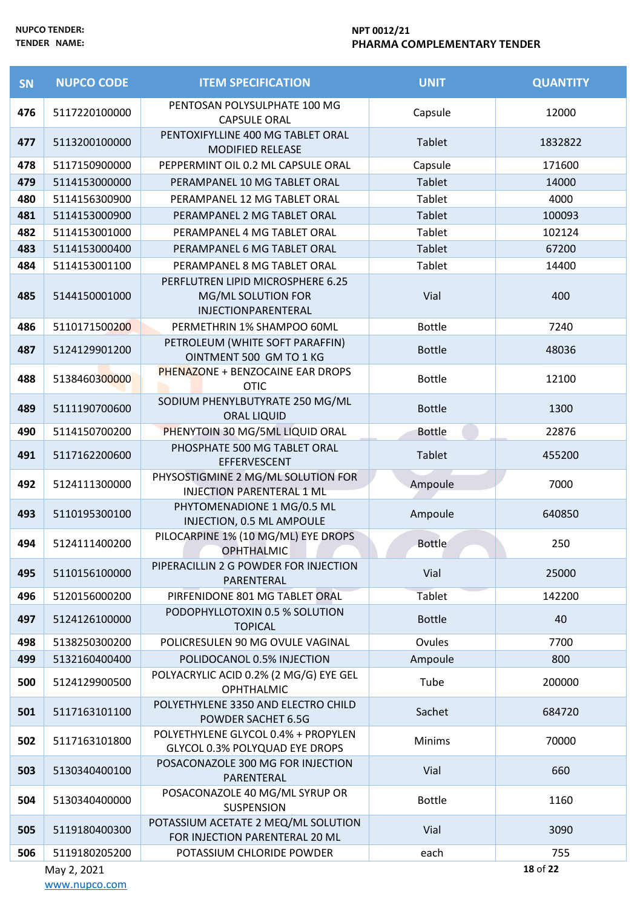| SN  | <b>NUPCO CODE</b> | <b>ITEM SPECIFICATION</b>                                                      | <b>UNIT</b>   | <b>QUANTITY</b> |
|-----|-------------------|--------------------------------------------------------------------------------|---------------|-----------------|
| 476 | 5117220100000     | PENTOSAN POLYSULPHATE 100 MG<br><b>CAPSULE ORAL</b>                            | Capsule       | 12000           |
| 477 | 5113200100000     | PENTOXIFYLLINE 400 MG TABLET ORAL<br><b>MODIFIED RELEASE</b>                   | <b>Tablet</b> | 1832822         |
| 478 | 5117150900000     | PEPPERMINT OIL 0.2 ML CAPSULE ORAL                                             | Capsule       | 171600          |
| 479 | 5114153000000     | PERAMPANEL 10 MG TABLET ORAL                                                   | Tablet        | 14000           |
| 480 | 5114156300900     | PERAMPANEL 12 MG TABLET ORAL                                                   | Tablet        | 4000            |
| 481 | 5114153000900     | PERAMPANEL 2 MG TABLET ORAL                                                    | Tablet        | 100093          |
| 482 | 5114153001000     | PERAMPANEL 4 MG TABLET ORAL                                                    | Tablet        | 102124          |
| 483 | 5114153000400     | PERAMPANEL 6 MG TABLET ORAL                                                    | Tablet        | 67200           |
| 484 | 5114153001100     | PERAMPANEL 8 MG TABLET ORAL                                                    | Tablet        | 14400           |
| 485 | 5144150001000     | PERFLUTREN LIPID MICROSPHERE 6.25<br>MG/ML SOLUTION FOR<br>INJECTIONPARENTERAL | Vial          | 400             |
| 486 | 5110171500200     | PERMETHRIN 1% SHAMPOO 60ML                                                     | <b>Bottle</b> | 7240            |
| 487 | 5124129901200     | PETROLEUM (WHITE SOFT PARAFFIN)<br>OINTMENT 500 GM TO 1 KG                     | <b>Bottle</b> | 48036           |
| 488 | 5138460300000     | <b>PHENAZONE + BENZOCAINE EAR DROPS</b><br><b>OTIC</b>                         | <b>Bottle</b> | 12100           |
| 489 | 5111190700600     | SODIUM PHENYLBUTYRATE 250 MG/ML<br><b>ORAL LIQUID</b>                          | <b>Bottle</b> | 1300            |
| 490 | 5114150700200     | PHENYTOIN 30 MG/5ML LIQUID ORAL                                                | <b>Bottle</b> | 22876           |
| 491 | 5117162200600     | PHOSPHATE 500 MG TABLET ORAL<br>EFFERVESCENT                                   | Tablet        | 455200          |
| 492 | 5124111300000     | PHYSOSTIGMINE 2 MG/ML SOLUTION FOR<br><b>INJECTION PARENTERAL 1 ML</b>         | Ampoule       | 7000            |
| 493 | 5110195300100     | PHYTOMENADIONE 1 MG/0.5 ML<br>INJECTION, 0.5 ML AMPOULE                        | Ampoule       | 640850          |
| 494 | 5124111400200     | PILOCARPINE 1% (10 MG/ML) EYE DROPS<br><b>OPHTHALMIC</b>                       | <b>Bottle</b> | 250             |
| 495 | 5110156100000     | PIPERACILLIN 2 G POWDER FOR INJECTION<br>PARENTERAL                            | Vial          | 25000           |
| 496 | 5120156000200     | PIRFENIDONE 801 MG TABLET ORAL                                                 | <b>Tablet</b> | 142200          |
| 497 | 5124126100000     | PODOPHYLLOTOXIN 0.5 % SOLUTION<br><b>TOPICAL</b>                               | <b>Bottle</b> | 40              |
| 498 | 5138250300200     | POLICRESULEN 90 MG OVULE VAGINAL                                               | Ovules        | 7700            |
| 499 | 5132160400400     | POLIDOCANOL 0.5% INJECTION                                                     | Ampoule       | 800             |
| 500 | 5124129900500     | POLYACRYLIC ACID 0.2% (2 MG/G) EYE GEL<br><b>OPHTHALMIC</b>                    | Tube          | 200000          |
| 501 | 5117163101100     | POLYETHYLENE 3350 AND ELECTRO CHILD<br>POWDER SACHET 6.5G                      | Sachet        | 684720          |
| 502 | 5117163101800     | POLYETHYLENE GLYCOL 0.4% + PROPYLEN<br>GLYCOL 0.3% POLYQUAD EYE DROPS          | <b>Minims</b> | 70000           |
| 503 | 5130340400100     | POSACONAZOLE 300 MG FOR INJECTION<br>PARENTERAL                                | Vial          | 660             |
| 504 | 5130340400000     | POSACONAZOLE 40 MG/ML SYRUP OR<br><b>SUSPENSION</b>                            | <b>Bottle</b> | 1160            |
| 505 | 5119180400300     | POTASSIUM ACETATE 2 MEQ/ML SOLUTION<br>FOR INJECTION PARENTERAL 20 ML          | Vial          | 3090            |
| 506 | 5119180205200     | POTASSIUM CHLORIDE POWDER                                                      | each          | 755             |
|     | May 2, 2021       |                                                                                |               | 18 of 22        |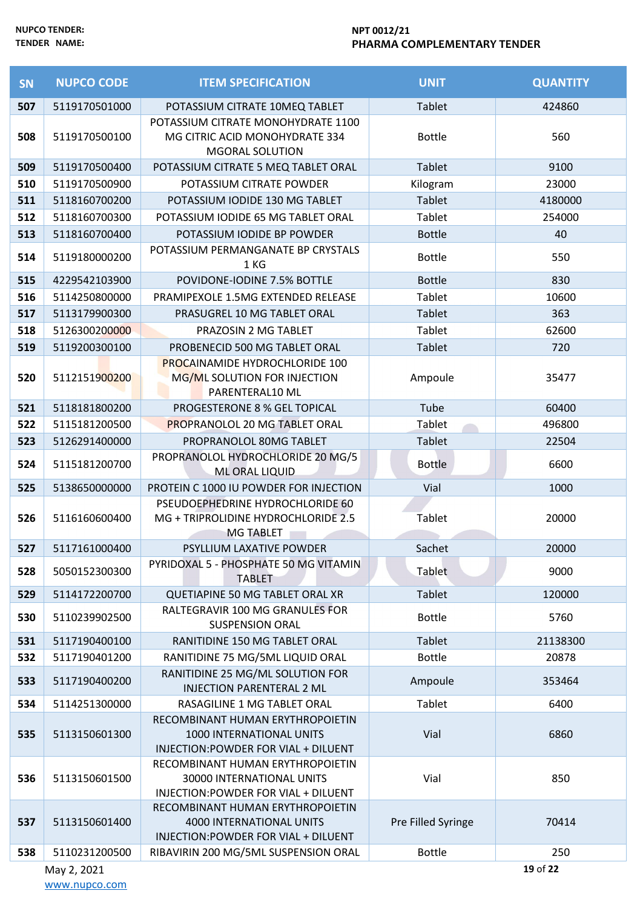| <b>SN</b> | <b>NUPCO CODE</b> | <b>ITEM SPECIFICATION</b>                                                                             | <b>UNIT</b>        | <b>QUANTITY</b> |
|-----------|-------------------|-------------------------------------------------------------------------------------------------------|--------------------|-----------------|
| 507       | 5119170501000     | POTASSIUM CITRATE 10MEQ TABLET                                                                        | <b>Tablet</b>      | 424860          |
| 508       | 5119170500100     | POTASSIUM CITRATE MONOHYDRATE 1100<br>MG CITRIC ACID MONOHYDRATE 334<br><b>MGORAL SOLUTION</b>        | <b>Bottle</b>      | 560             |
| 509       | 5119170500400     | POTASSIUM CITRATE 5 MEQ TABLET ORAL                                                                   | Tablet             | 9100            |
| 510       | 5119170500900     | POTASSIUM CITRATE POWDER                                                                              | Kilogram           | 23000           |
| 511       | 5118160700200     | POTASSIUM IODIDE 130 MG TABLET                                                                        | <b>Tablet</b>      | 4180000         |
| 512       | 5118160700300     | POTASSIUM IODIDE 65 MG TABLET ORAL                                                                    | Tablet             | 254000          |
| 513       | 5118160700400     | POTASSIUM IODIDE BP POWDER                                                                            | <b>Bottle</b>      | 40              |
| 514       | 5119180000200     | POTASSIUM PERMANGANATE BP CRYSTALS<br>1 KG                                                            | <b>Bottle</b>      | 550             |
| 515       | 4229542103900     | POVIDONE-IODINE 7.5% BOTTLE                                                                           | <b>Bottle</b>      | 830             |
| 516       | 5114250800000     | PRAMIPEXOLE 1.5MG EXTENDED RELEASE                                                                    | <b>Tablet</b>      | 10600           |
| 517       | 5113179900300     | PRASUGREL 10 MG TABLET ORAL                                                                           | <b>Tablet</b>      | 363             |
| 518       | 5126300200000     | PRAZOSIN 2 MG TABLET                                                                                  | Tablet             | 62600           |
| 519       | 5119200300100     | PROBENECID 500 MG TABLET ORAL                                                                         | <b>Tablet</b>      | 720             |
| 520       | 5112151900200     | <b>PROCAINAMIDE HYDROCHLORIDE 100</b><br>MG/ML SOLUTION FOR INJECTION<br>PARENTERAL10 ML              | Ampoule            | 35477           |
| 521       | 5118181800200     | PROGESTERONE 8 % GEL TOPICAL                                                                          | Tube               | 60400           |
| 522       | 5115181200500     | <b>PROPRANOLOL 20 MG TABLET ORAL</b>                                                                  | Tablet             | 496800          |
| 523       | 5126291400000     | PROPRANOLOL 80MG TABLET                                                                               | <b>Tablet</b>      | 22504           |
| 524       | 5115181200700     | PROPRANOLOL HYDROCHLORIDE 20 MG/5<br>ML ORAL LIQUID                                                   | <b>Bottle</b>      | 6600            |
| 525       | 5138650000000     | PROTEIN C 1000 IU POWDER FOR INJECTION                                                                | Vial               | 1000            |
| 526       | 5116160600400     | PSEUDOEPHEDRINE HYDROCHLORIDE 60<br>MG + TRIPROLIDINE HYDROCHLORIDE 2.5<br><b>MG TABLET</b>           | Tablet             | 20000           |
| 527       | 5117161000400     | PSYLLIUM LAXATIVE POWDER                                                                              | Sachet             | 20000           |
| 528       | 5050152300300     | PYRIDOXAL 5 - PHOSPHATE 50 MG VITAMIN<br><b>TABLET</b>                                                | Tablet             | 9000            |
| 529       | 5114172200700     | QUETIAPINE 50 MG TABLET ORAL XR                                                                       | <b>Tablet</b>      | 120000          |
| 530       | 5110239902500     | RALTEGRAVIR 100 MG GRANULES FOR<br><b>SUSPENSION ORAL</b>                                             | <b>Bottle</b>      | 5760            |
| 531       | 5117190400100     | RANITIDINE 150 MG TABLET ORAL                                                                         | <b>Tablet</b>      | 21138300        |
| 532       | 5117190401200     | RANITIDINE 75 MG/5ML LIQUID ORAL                                                                      | <b>Bottle</b>      | 20878           |
| 533       | 5117190400200     | RANITIDINE 25 MG/ML SOLUTION FOR<br><b>INJECTION PARENTERAL 2 ML</b>                                  | Ampoule            | 353464          |
| 534       | 5114251300000     | RASAGILINE 1 MG TABLET ORAL                                                                           | Tablet             | 6400            |
| 535       | 5113150601300     | RECOMBINANT HUMAN ERYTHROPOIETIN<br>1000 INTERNATIONAL UNITS<br>INJECTION: POWDER FOR VIAL + DILUENT  | Vial               | 6860            |
| 536       | 5113150601500     | RECOMBINANT HUMAN ERYTHROPOIETIN<br>30000 INTERNATIONAL UNITS<br>INJECTION: POWDER FOR VIAL + DILUENT | Vial               | 850             |
| 537       | 5113150601400     | RECOMBINANT HUMAN ERYTHROPOIETIN<br>4000 INTERNATIONAL UNITS<br>INJECTION: POWDER FOR VIAL + DILUENT  | Pre Filled Syringe | 70414           |
| 538       | 5110231200500     | RIBAVIRIN 200 MG/5ML SUSPENSION ORAL                                                                  | <b>Bottle</b>      | 250             |
|           | May 2, 2021       |                                                                                                       |                    | 19 of 22        |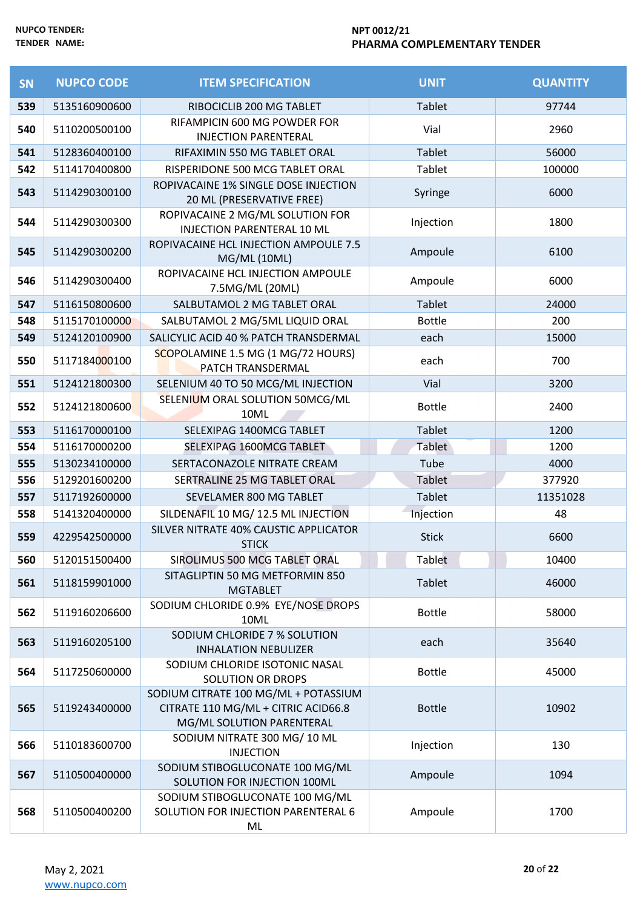| <b>SN</b> | <b>NUPCO CODE</b> | <b>ITEM SPECIFICATION</b>                                                                                | <b>UNIT</b>   | <b>QUANTITY</b> |
|-----------|-------------------|----------------------------------------------------------------------------------------------------------|---------------|-----------------|
| 539       | 5135160900600     | RIBOCICLIB 200 MG TABLET                                                                                 | <b>Tablet</b> | 97744           |
| 540       | 5110200500100     | RIFAMPICIN 600 MG POWDER FOR<br><b>INJECTION PARENTERAL</b>                                              | Vial          | 2960            |
| 541       | 5128360400100     | RIFAXIMIN 550 MG TABLET ORAL                                                                             | <b>Tablet</b> | 56000           |
| 542       | 5114170400800     | RISPERIDONE 500 MCG TABLET ORAL                                                                          | Tablet        | 100000          |
| 543       | 5114290300100     | ROPIVACAINE 1% SINGLE DOSE INJECTION<br>20 ML (PRESERVATIVE FREE)                                        | Syringe       | 6000            |
| 544       | 5114290300300     | ROPIVACAINE 2 MG/ML SOLUTION FOR<br><b>INJECTION PARENTERAL 10 ML</b>                                    | Injection     | 1800            |
| 545       | 5114290300200     | ROPIVACAINE HCL INJECTION AMPOULE 7.5<br>MG/ML (10ML)                                                    | Ampoule       | 6100            |
| 546       | 5114290300400     | ROPIVACAINE HCL INJECTION AMPOULE<br>7.5MG/ML (20ML)                                                     | Ampoule       | 6000            |
| 547       | 5116150800600     | SALBUTAMOL 2 MG TABLET ORAL                                                                              | <b>Tablet</b> | 24000           |
| 548       | 5115170100000     | SALBUTAMOL 2 MG/5ML LIQUID ORAL                                                                          | <b>Bottle</b> | 200             |
| 549       | 5124120100900     | SALICYLIC ACID 40 % PATCH TRANSDERMAL                                                                    | each          | 15000           |
| 550       | 5117184000100     | SCOPOLAMINE 1.5 MG (1 MG/72 HOURS)<br>PATCH TRANSDERMAL                                                  | each          | 700             |
| 551       | 5124121800300     | SELENIUM 40 TO 50 MCG/ML INJECTION                                                                       | Vial          | 3200            |
| 552       | 5124121800600     | SELENIUM ORAL SOLUTION 50MCG/ML<br>10ML                                                                  | <b>Bottle</b> | 2400            |
| 553       | 5116170000100     | SELEXIPAG 1400MCG TABLET                                                                                 | <b>Tablet</b> | 1200            |
| 554       | 5116170000200     | SELEXIPAG 1600MCG TABLET                                                                                 | Tablet        | 1200            |
| 555       | 5130234100000     | SERTACONAZOLE NITRATE CREAM                                                                              | Tube          | 4000            |
| 556       | 5129201600200     | SERTRALINE 25 MG TABLET ORAL                                                                             | Tablet        | 377920          |
| 557       | 5117192600000     | SEVELAMER 800 MG TABLET                                                                                  | Tablet        | 11351028        |
| 558       | 5141320400000     | SILDENAFIL 10 MG/ 12.5 ML INJECTION                                                                      | Injection     | 48              |
| 559       | 4229542500000     | SILVER NITRATE 40% CAUSTIC APPLICATOR<br><b>STICK</b>                                                    | <b>Stick</b>  | 6600            |
| 560       | 5120151500400     | SIROLIMUS 500 MCG TABLET ORAL                                                                            | Tablet        | 10400           |
| 561       | 5118159901000     | SITAGLIPTIN 50 MG METFORMIN 850<br><b>MGTABLET</b>                                                       | Tablet        | 46000           |
| 562       | 5119160206600     | SODIUM CHLORIDE 0.9% EYE/NOSE DROPS<br>10ML                                                              | <b>Bottle</b> | 58000           |
| 563       | 5119160205100     | SODIUM CHLORIDE 7 % SOLUTION<br><b>INHALATION NEBULIZER</b>                                              | each          | 35640           |
| 564       | 5117250600000     | SODIUM CHLORIDE ISOTONIC NASAL<br>SOLUTION OR DROPS                                                      | <b>Bottle</b> | 45000           |
| 565       | 5119243400000     | SODIUM CITRATE 100 MG/ML + POTASSIUM<br>CITRATE 110 MG/ML + CITRIC ACID66.8<br>MG/ML SOLUTION PARENTERAL | <b>Bottle</b> | 10902           |
| 566       | 5110183600700     | SODIUM NITRATE 300 MG/10 ML<br><b>INJECTION</b>                                                          | Injection     | 130             |
| 567       | 5110500400000     | SODIUM STIBOGLUCONATE 100 MG/ML<br>SOLUTION FOR INJECTION 100ML                                          | Ampoule       | 1094            |
| 568       | 5110500400200     | SODIUM STIBOGLUCONATE 100 MG/ML<br>SOLUTION FOR INJECTION PARENTERAL 6<br>ML                             | Ampoule       | 1700            |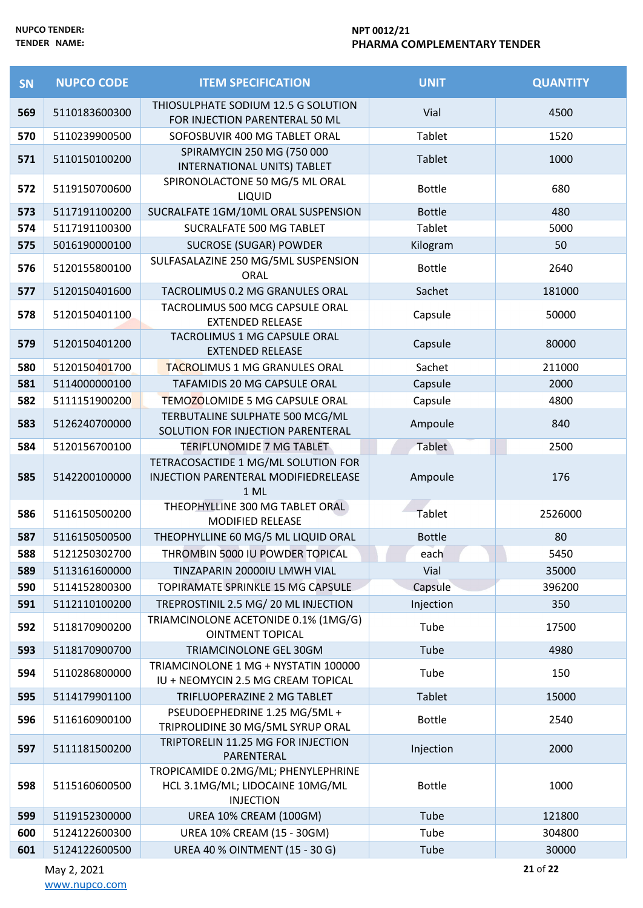| SN  | <b>NUPCO CODE</b> | <b>ITEM SPECIFICATION</b>                                                                  | <b>UNIT</b>   | <b>QUANTITY</b> |
|-----|-------------------|--------------------------------------------------------------------------------------------|---------------|-----------------|
| 569 | 5110183600300     | THIOSULPHATE SODIUM 12.5 G SOLUTION<br>FOR INJECTION PARENTERAL 50 ML                      | Vial          | 4500            |
| 570 | 5110239900500     | SOFOSBUVIR 400 MG TABLET ORAL                                                              | Tablet        | 1520            |
| 571 | 5110150100200     | SPIRAMYCIN 250 MG (750 000<br>INTERNATIONAL UNITS) TABLET                                  | <b>Tablet</b> | 1000            |
| 572 | 5119150700600     | SPIRONOLACTONE 50 MG/5 ML ORAL<br><b>LIQUID</b>                                            | <b>Bottle</b> | 680             |
| 573 | 5117191100200     | SUCRALFATE 1GM/10ML ORAL SUSPENSION                                                        | <b>Bottle</b> | 480             |
| 574 | 5117191100300     | SUCRALFATE 500 MG TABLET                                                                   | Tablet        | 5000            |
| 575 | 5016190000100     | <b>SUCROSE (SUGAR) POWDER</b>                                                              | Kilogram      | 50              |
| 576 | 5120155800100     | SULFASALAZINE 250 MG/5ML SUSPENSION<br><b>ORAL</b>                                         | <b>Bottle</b> | 2640            |
| 577 | 5120150401600     | TACROLIMUS 0.2 MG GRANULES ORAL                                                            | Sachet        | 181000          |
| 578 | 5120150401100     | TACROLIMUS 500 MCG CAPSULE ORAL<br><b>EXTENDED RELEASE</b>                                 | Capsule       | 50000           |
| 579 | 5120150401200     | TACROLIMUS 1 MG CAPSULE ORAL<br><b>EXTENDED RELEASE</b>                                    | Capsule       | 80000           |
| 580 | 5120150401700     | TACROLIMUS 1 MG GRANULES ORAL                                                              | Sachet        | 211000          |
| 581 | 5114000000100     | TAFAMIDIS 20 MG CAPSULE ORAL                                                               | Capsule       | 2000            |
| 582 | 5111151900200     | TEMOZOLOMIDE 5 MG CAPSULE ORAL                                                             | Capsule       | 4800            |
| 583 | 5126240700000     | TERBUTALINE SULPHATE 500 MCG/ML<br>SOLUTION FOR INJECTION PARENTERAL                       | Ampoule       | 840             |
| 584 | 5120156700100     | TERIFLUNOMIDE 7 MG TABLET                                                                  | Tablet        | 2500            |
| 585 | 5142200100000     | TETRACOSACTIDE 1 MG/ML SOLUTION FOR<br>INJECTION PARENTERAL MODIFIEDRELEASE<br>1 ML        | Ampoule       | 176             |
| 586 | 5116150500200     | THEOPHYLLINE 300 MG TABLET ORAL<br><b>MODIFIED RELEASE</b>                                 | <b>Tablet</b> | 2526000         |
| 587 | 5116150500500     | THEOPHYLLINE 60 MG/5 ML LIQUID ORAL                                                        | <b>Bottle</b> | 80              |
| 588 | 5121250302700     | THROMBIN 5000 IU POWDER TOPICAL                                                            | each          | 5450            |
| 589 | 5113161600000     | TINZAPARIN 20000IU LMWH VIAL                                                               | Vial          | 35000           |
| 590 | 5114152800300     | TOPIRAMATE SPRINKLE 15 MG CAPSULE                                                          | Capsule       | 396200          |
| 591 | 5112110100200     | TREPROSTINIL 2.5 MG/ 20 ML INJECTION                                                       | Injection     | 350             |
| 592 | 5118170900200     | TRIAMCINOLONE ACETONIDE 0.1% (1MG/G)<br><b>OINTMENT TOPICAL</b>                            | Tube          | 17500           |
| 593 | 5118170900700     | TRIAMCINOLONE GEL 30GM                                                                     | Tube          | 4980            |
| 594 | 5110286800000     | TRIAMCINOLONE 1 MG + NYSTATIN 100000<br>IU + NEOMYCIN 2.5 MG CREAM TOPICAL                 | Tube          | 150             |
| 595 | 5114179901100     | TRIFLUOPERAZINE 2 MG TABLET                                                                | <b>Tablet</b> | 15000           |
| 596 | 5116160900100     | PSEUDOEPHEDRINE 1.25 MG/5ML +<br>TRIPROLIDINE 30 MG/5ML SYRUP ORAL                         | <b>Bottle</b> | 2540            |
| 597 | 5111181500200     | TRIPTORELIN 11.25 MG FOR INJECTION<br>PARENTERAL                                           | Injection     | 2000            |
| 598 | 5115160600500     | TROPICAMIDE 0.2MG/ML; PHENYLEPHRINE<br>HCL 3.1MG/ML; LIDOCAINE 10MG/ML<br><b>INJECTION</b> | <b>Bottle</b> | 1000            |
| 599 | 5119152300000     | UREA 10% CREAM (100GM)                                                                     | Tube          | 121800          |
| 600 | 5124122600300     | UREA 10% CREAM (15 - 30GM)                                                                 | Tube          | 304800          |
| 601 | 5124122600500     | UREA 40 % OINTMENT (15 - 30 G)                                                             | Tube          | 30000           |